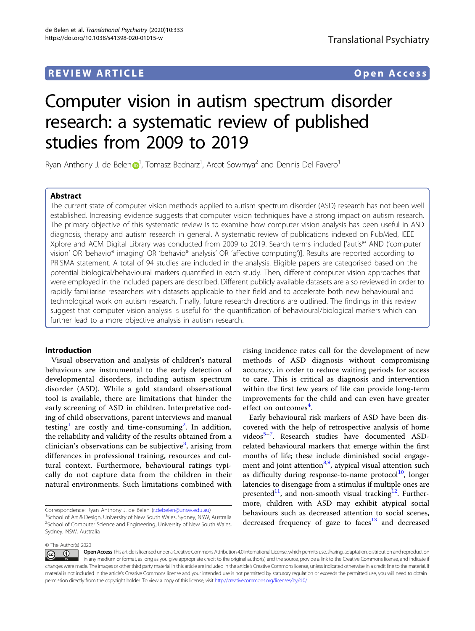# **REVIEW ARTICLE CONSUMING A REVIEW ARTICLE**

# Computer vision in autism spectrum disorder research: a systematic review of published studies from 2009 to 2019

Rya[n](http://orcid.org/0000-0002-4624-2668) Anthony J. de Belen $\mathbf{D}^1$  $\mathbf{D}^1$ , Tomasz Bednarz<sup>1</sup>, Arcot Sowmya<sup>2</sup> and Dennis Del Favero<sup>1</sup>

# Abstract

The current state of computer vision methods applied to autism spectrum disorder (ASD) research has not been well established. Increasing evidence suggests that computer vision techniques have a strong impact on autism research. The primary objective of this systematic review is to examine how computer vision analysis has been useful in ASD diagnosis, therapy and autism research in general. A systematic review of publications indexed on PubMed, IEEE Xplore and ACM Digital Library was conducted from 2009 to 2019. Search terms included ['autis\*' AND ('computer vision' OR 'behavio\* imaging' OR 'behavio\* analysis' OR 'affective computing')]. Results are reported according to PRISMA statement. A total of 94 studies are included in the analysis. Eligible papers are categorised based on the potential biological/behavioural markers quantified in each study. Then, different computer vision approaches that were employed in the included papers are described. Different publicly available datasets are also reviewed in order to rapidly familiarise researchers with datasets applicable to their field and to accelerate both new behavioural and technological work on autism research. Finally, future research directions are outlined. The findings in this review suggest that computer vision analysis is useful for the quantification of behavioural/biological markers which can further lead to a more objective analysis in autism research.

# Introduction

Visual observation and analysis of children's natural behaviours are instrumental to the early detection of developmental disorders, including autism spectrum disorder (ASD). While a gold standard observational tool is available, there are limitations that hinder the early screening of ASD in children. Interpretative coding of child observations, parent interviews and manual testing $^{\rm l}$  are costly and time-consuming $^{\rm 2}.$  $^{\rm 2}.$  $^{\rm 2}.$  In addition, the reliability and validity of the results obtained from a clinician's observations can be subjective $^3$  $^3$ , arising from differences in professional training, resources and cultural context. Furthermore, behavioural ratings typically do not capture data from the children in their natural environments. Such limitations combined with

Correspondence: Ryan Anthony J. de Belen [\(r.debelen@unsw.edu.au\)](mailto:r.debelen@unsw.edu.au) <sup>1</sup>

rising incidence rates call for the development of new methods of ASD diagnosis without compromising accuracy, in order to reduce waiting periods for access to care. This is critical as diagnosis and intervention within the first few years of life can provide long-term improvements for the child and can even have greater effect on outcomes<sup>[4](#page-16-0)</sup>.

Early behavioural risk markers of ASD have been discovered with the help of retrospective analysis of home videos<sup>[5](#page-16-0)-[7](#page-16-0)</sup>. Research studies have documented ASDrelated behavioural markers that emerge within the first months of life; these include diminished social engage-ment and joint attention<sup>[8](#page-16-0),[9](#page-16-0)</sup>, atypical visual attention such as difficulty during response-to-name protocol $10$ , longer latencies to disengage from a stimulus if multiple ones are presented<sup>11</sup>, and non-smooth visual tracking<sup>[12](#page-16-0)</sup>. Furthermore, children with ASD may exhibit atypical social behaviours such as decreased attention to social scenes, decreased frequency of gaze to faces $13$  and decreased

© The Author(s) 2020

<sup>&</sup>lt;sup>1</sup> School of Art & Design, University of New South Wales, Sydney, NSW, Australia <sup>2</sup>School of Computer Science and Engineering, University of New South Wales, Sydney, NSW, Australia

Open Access This article is licensed under a Creative Commons Attribution 4.0 International License, which permits use, sharing, adaptation, distribution and reproduction (i)  $\left[{\rm (cc)}\right]$ in any medium or format, as long as you give appropriate credit to the original author(s) and the source, provide a link to the Creative Commons license, and indicate if changes were made. The images or other third party material in this article are included in the article's Creative Commons license, unless indicated otherwise in a credit line to the material. If material is not included in the article's Creative Commons license and your intended use is not permitted by statutory regulation or exceeds the permitted use, you will need to obtain permission directly from the copyright holder. To view a copy of this license, visit <http://creativecommons.org/licenses/by/4.0/>.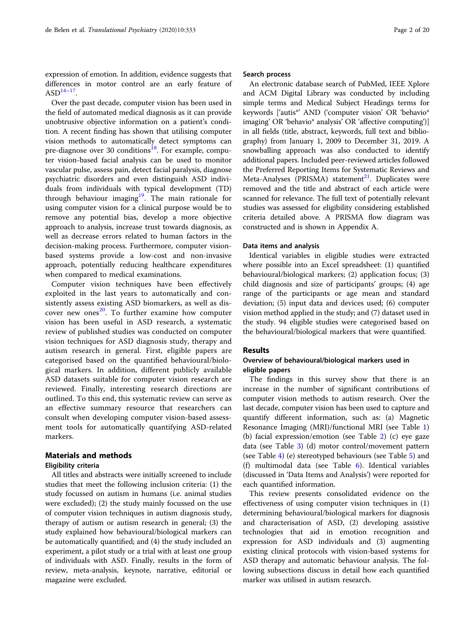expression of emotion. In addition, evidence suggests that differences in motor control are an early feature of  $ASD<sup>14–17</sup>$  $ASD<sup>14–17</sup>$  $ASD<sup>14–17</sup>$ .

Over the past decade, computer vision has been used in the field of automated medical diagnosis as it can provide unobtrusive objective information on a patient's condition. A recent finding has shown that utilising computer vision methods to automatically detect symptoms can pre-diagnose over 30 conditions<sup>18</sup>. For example, computer vision-based facial analysis can be used to monitor vascular pulse, assess pain, detect facial paralysis, diagnose psychiatric disorders and even distinguish ASD individuals from individuals with typical development (TD) through behaviour imaging<sup>19</sup>. The main rationale for using computer vision for a clinical purpose would be to remove any potential bias, develop a more objective approach to analysis, increase trust towards diagnosis, as well as decrease errors related to human factors in the decision-making process. Furthermore, computer visionbased systems provide a low-cost and non-invasive approach, potentially reducing healthcare expenditures when compared to medical examinations.

Computer vision techniques have been effectively exploited in the last years to automatically and consistently assess existing ASD biomarkers, as well as discover new ones $^{20}$ . To further examine how computer vision has been useful in ASD research, a systematic review of published studies was conducted on computer vision techniques for ASD diagnosis study, therapy and autism research in general. First, eligible papers are categorised based on the quantified behavioural/biological markers. In addition, different publicly available ASD datasets suitable for computer vision research are reviewed. Finally, interesting research directions are outlined. To this end, this systematic review can serve as an effective summary resource that researchers can consult when developing computer vision-based assessment tools for automatically quantifying ASD-related markers.

# Materials and methods

# Eligibility criteria

All titles and abstracts were initially screened to include studies that meet the following inclusion criteria: (1) the study focussed on autism in humans (i.e. animal studies were excluded); (2) the study mainly focussed on the use of computer vision techniques in autism diagnosis study, therapy of autism or autism research in general; (3) the study explained how behavioural/biological markers can be automatically quantified; and (4) the study included an experiment, a pilot study or a trial with at least one group of individuals with ASD. Finally, results in the form of review, meta-analysis, keynote, narrative, editorial or magazine were excluded.

#### Search process

An electronic database search of PubMed, IEEE Xplore and ACM Digital Library was conducted by including simple terms and Medical Subject Headings terms for keywords ['autis\*' AND ('computer vision' OR 'behavio\* imaging' OR 'behavio\* analysis' OR 'affective computing')] in all fields (title, abstract, keywords, full text and bibliography) from January 1, 2009 to December 31, 2019. A snowballing approach was also conducted to identify additional papers. Included peer-reviewed articles followed the Preferred Reporting Items for Systematic Reviews and Meta-Analyses (PRISMA) statement<sup>21</sup>. Duplicates were removed and the title and abstract of each article were scanned for relevance. The full text of potentially relevant studies was assessed for eligibility considering established criteria detailed above. A PRISMA flow diagram was constructed and is shown in Appendix A.

# Data items and analysis

Identical variables in eligible studies were extracted where possible into an Excel spreadsheet: (1) quantified behavioural/biological markers; (2) application focus; (3) child diagnosis and size of participants' groups; (4) age range of the participants or age mean and standard deviation; (5) input data and devices used; (6) computer vision method applied in the study; and (7) dataset used in the study. 94 eligible studies were categorised based on the behavioural/biological markers that were quantified.

# Results

# Overview of behavioural/biological markers used in eligible papers

The findings in this survey show that there is an increase in the number of significant contributions of computer vision methods to autism research. Over the last decade, computer vision has been used to capture and quantify different information, such as: (a) Magnetic Resonance Imaging (MRI)/functional MRI (see Table [1](#page-2-0)) (b) facial expression/emotion (see Table [2\)](#page-3-0) (c) eye gaze data (see Table [3](#page-5-0)) (d) motor control/movement pattern (see Table [4\)](#page-7-0) (e) stereotyped behaviours (see Table [5\)](#page-8-0) and (f) multimodal data (see Table [6](#page-9-0)). Identical variables (discussed in 'Data Items and Analysis') were reported for each quantified information.

This review presents consolidated evidence on the effectiveness of using computer vision techniques in (1) determining behavioural/biological markers for diagnosis and characterisation of ASD, (2) developing assistive technologies that aid in emotion recognition and expression for ASD individuals and (3) augmenting existing clinical protocols with vision-based systems for ASD therapy and automatic behaviour analysis. The following subsections discuss in detail how each quantified marker was utilised in autism research.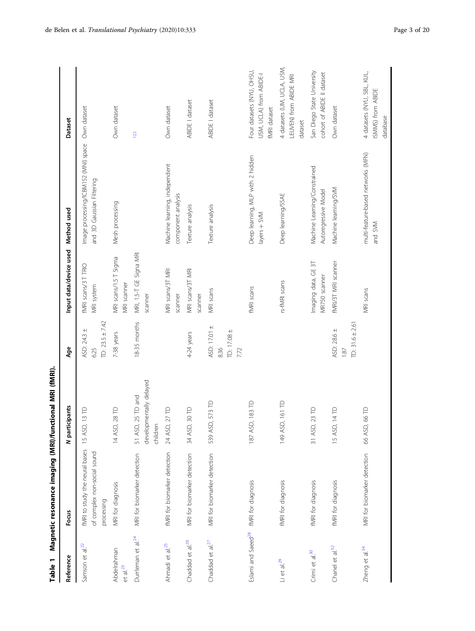| Table 1                             | Magnetic resonance imaging (MRI)/functional MRI (fMRI).                     |                                                             |                                             |                                      |                                                                   |                                                                      |
|-------------------------------------|-----------------------------------------------------------------------------|-------------------------------------------------------------|---------------------------------------------|--------------------------------------|-------------------------------------------------------------------|----------------------------------------------------------------------|
| Reference                           | Focus                                                                       | dipants<br>N partic                                         | Age                                         | Input data/device used               | Method used                                                       | Dataset                                                              |
| Samson et al. <sup>22</sup>         | fMRI to study the neural bases<br>of complex non-social sound<br>processing | 13 TD<br>15 ASD                                             | TD: $23.5 \pm 7.42$<br>ASD: 24.3 ±<br>6.25  | fMRI scans/3T TRIO<br>MRI system     | Image processing/ICBM152 (MNI) space<br>and 3D Gaussian Filtering | Own dataset                                                          |
| Abdelrahman<br>et al. <sup>23</sup> | MRI for diagnosis                                                           | 28 TD<br>14 ASD,                                            | 7-38 years                                  | MRI scans/1.5 T Sigma<br>MRI scanner | Mesh processing                                                   | Own dataset                                                          |
| Durrleman et al. <sup>24</sup>      | MRI for biomarker detection                                                 | developmentally delayed<br>25 TD and<br>children<br>51 ASD, | 18-35 months                                | MRI, 1.5-T GE Signa MRI<br>scanner   |                                                                   | 122                                                                  |
| Ahmadi et al. <sup>25</sup>         | fMRI for biomarker detection                                                | 27 TD<br>24 ASD,                                            |                                             | MRI scans/3T MRI<br>scanner          | Machine learning, independent<br>component analysis               | Own dataset                                                          |
| Chaddad et al. <sup>26</sup>        | MRI for biomarker detection                                                 | 30 TD<br>34 ASD,                                            | 4-24 years                                  | MRI scans/3T MRI<br>scanner          | Texture analysis                                                  | ABIDE I dataset                                                      |
| Chaddad et al. <sup>27</sup>        | MRI for biomarker detection                                                 | 573 TD<br>539 ASD                                           | ASD: 17.01 ±<br>TD: 17.08 ±<br>8.36<br>7.72 | MRI scans                            | Texture analysis                                                  | ABIDE I dataset                                                      |
| Eslami and Saeed <sup>28</sup>      | fMRI for diagnosis                                                          | $183$ TD<br>187 ASD                                         |                                             | fMRI scans                           | Deep learning, MLP with 2 hidden<br>layers + SVM                  | Four datasets (NYU, OHSU,<br>USM, UCLA) from ABIDE-I<br>fMRI dataset |
| $Li$ et al. $^{29}$                 | fMRI for diagnosis                                                          | 149 ASD, 161 TD                                             |                                             | rs-fMRI scans                        | Deep learning/SSAE                                                | 4 datasets (UM, UCLA, USM,<br>LEUVEN) from ABIDE MRI<br>dataset      |
| Crimi et al. <sup>30</sup>          | fMRI for diagnosis                                                          | 23 TD<br>31 ASD,                                            |                                             | Imaging data, GE 3T<br>MR750 scanner | Machine Learning/Constrained<br>Autoregressive Model              | San Diego State University<br>cohort of ABIDE II dataset             |
| Chanel et al. <sup>32</sup>         | fMRI for diagnosis                                                          | 14 TD<br>15 ASD,                                            | TD: $31.6 \pm 2.61$<br>ASD: 28.6 ±<br>1.87  | fMRI/3T MRI scanner                  | Machine learning/SVM                                              | Own dataset                                                          |
| Zheng et al. <sup>34</sup>          | MRI for biomarker detection                                                 | 66 TD<br>66 ASD,                                            |                                             | MRI scans                            | multi-feature-based networks (MFN)<br>and SVM                     | 4 datasets (NYU, SBL, KUL,<br>ISMMS) from ABIDE<br>database          |

<span id="page-2-0"></span>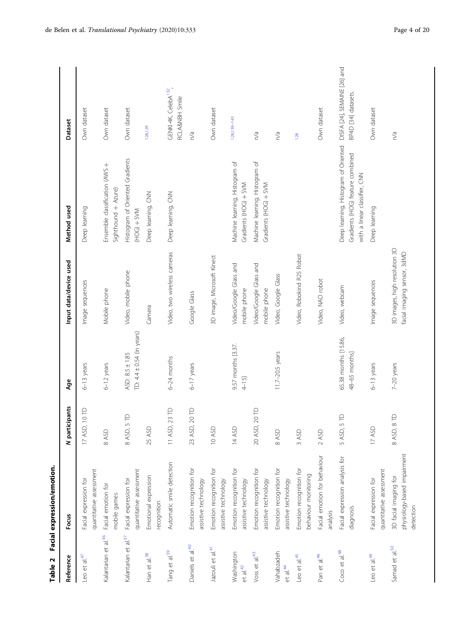<span id="page-3-0"></span>

| Table 2                            | Facial expression/emotion.                                        |                              |                                                  |                                                              |                                                                                                           |                                                     |
|------------------------------------|-------------------------------------------------------------------|------------------------------|--------------------------------------------------|--------------------------------------------------------------|-----------------------------------------------------------------------------------------------------------|-----------------------------------------------------|
| Reference                          | Focus                                                             | N participants               | Age                                              | Input data/device used                                       | Method used                                                                                               | <b>Dataset</b>                                      |
| Leo et al. <sup>47</sup>           | quantitative assessment<br>Facial expression for                  | $\overline{0}$<br>17 ASD,    | $6-13$ years                                     | Image sequences                                              | Deep learning                                                                                             | Own dataset                                         |
| Kalantarian et al. <sup>36</sup>   | Facial emotion for<br>mobile games                                | 8 ASD                        | $6-12$ years                                     | Mobile phone                                                 | Ensemble classification (AWS +<br>Sighthound + Azure)                                                     | Own dataset                                         |
| Kalantarian et al. <sup>37</sup>   | quantitative assessment<br>Facial expression for                  | $\in$<br>8 ASD, 5            | TD: $4.4 \pm 0.54$ (in years)<br>ASD: 8.5 ± 1.85 | Video, mobile phone                                          | Histogram of Oriented Gradients<br>$X \rightarrow Y \rightarrow Z \rightarrow Z$                          | Own dataset                                         |
| Han et al. <sup>38</sup>           | Emotional expression<br>recognition                               | 25 ASD                       |                                                  | Camera                                                       | Deep learning, CNN                                                                                        | 128,129                                             |
| Tang et al. <sup>39</sup>          | Automatic smile detection                                         | $23$ TD<br>$\sim$<br>11 ASD, | $6-24$ months                                    | Video, two wireless cameras                                  | Deep learning, CNN                                                                                        | GENKI-4K, CelebA <sup>132</sup> ,<br>RCLA&NBH Smile |
| Daniels et al. <sup>40</sup>       | Emotion recognition for<br>assistive technology                   | 23 ASD, 20 TD                | $6-17$ years                                     | Google Glass                                                 |                                                                                                           | n/a                                                 |
| Jazouli et al. <sup>41</sup>       | Emotion recognition for<br>assistive technology                   | 10 ASD                       |                                                  | 3D image, Microsoft Kinect                                   |                                                                                                           | Own dataset                                         |
| Washington<br>et al. <sup>42</sup> | Emotion recognition for<br>assistive technology                   | 14 ASD                       | 9.57 months [3.37.<br>$4 - 15$ ]                 | Video/Google Glass and<br>mobile phone                       | Machine learning, Histogram of<br>Gradients (HOG) + SVM                                                   | 128,139-143                                         |
| Voss et al. <sup>43</sup>          | Emotion recognition for<br>assistive technology                   | 20 ASD, 20 TD                |                                                  | Video/Google Glass and<br>mobile phone                       | Machine learning, Histogram of<br>Gradients (HOG) + SVM                                                   | n/a                                                 |
| Vahabzadeh<br>et al. $44$          | Emotion recognition for<br>assistive technology                   | 8 ASD                        | 11.7-20.5 years                                  | Video, Google Glass                                          |                                                                                                           | n/a                                                 |
| Leo et al. <sup>45</sup>           | Emotion recognition for<br>behaviour monitoring                   | 3 ASD                        |                                                  | Video, Robokind R25 Robot                                    |                                                                                                           | 128                                                 |
| Pan et al. <sup>46</sup>           | Facial emotion for behaviour<br>analysis                          | 2 ASD                        |                                                  | Video, NAO robot                                             |                                                                                                           | Own dataset                                         |
| Coco et al. <sup>48</sup>          | Facial expression analysis for<br>diagnosis                       | $\triangle$<br>5 ASD, 5      | 65.38 months [15.86,<br>48-65 months]            | Video, webcam                                                | Deep learning, Histogram of Oriented<br>Gradients (HOG) feature combined<br>with a linear classifier, CNN | DISFA [24], SEMAINE [26] and<br>BP4D [34] datasets. |
| Leo et al. <sup>49</sup>           | quantitative assessment<br>Facial expression for                  | 17 ASD                       | $6-13$ years                                     | Image sequences                                              | Deep learning                                                                                             | Own dataset                                         |
| Samad et al. <sup>50</sup>         | physiology-based impairment<br>3D facial imaging for<br>detection | $\infty$<br>8 ASD, 8         | $7-20$ years                                     | 3D images, high resolution 3D<br>facial imaging sensor, 3dMD |                                                                                                           | n/a                                                 |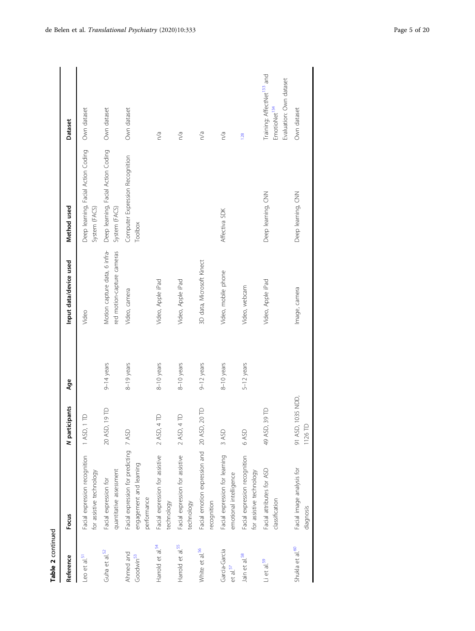| Table 2 continued                     |                                                                                  |                                |              |                                                             |                                                      |                                                                                               |
|---------------------------------------|----------------------------------------------------------------------------------|--------------------------------|--------------|-------------------------------------------------------------|------------------------------------------------------|-----------------------------------------------------------------------------------------------|
| Reference                             | Focus                                                                            | N participants                 | Åge          | Input data/device used                                      | Method used                                          | <b>Dataset</b>                                                                                |
| Leo et al. <sup>51</sup>              | Facial expression recognition<br>for assistive technology                        | $\triangle$<br>1 ASD, 1        |              | Video                                                       | Deep learning, Facial Action Coding<br>System (FACS) | Own dataset                                                                                   |
| Guha et al. <sup>52</sup>             | quantitative assessment<br>Facial expression for                                 | 19TD<br>20 ASD,                | $9-14$ years | Motion capture data, 6 infra-<br>red motion-capture cameras | Deep learning, Facial Action Coding<br>System (FACS) | Own dataset                                                                                   |
| Ahmed and<br>Goodwin <sup>53</sup>    | Facial expression for predicting 7 ASD<br>engagement and learning<br>performance |                                | 8-19 years   | Video, camera                                               | Computer Expression Recognition<br>Toolbox           | Own dataset                                                                                   |
| Harrold et al. <sup>54</sup>          | Facial expression for assistive<br>technology                                    | $\triangle$<br>2 ASD, 4        | 8-10 years   | Video, Apple iPad                                           |                                                      | n/a                                                                                           |
| Harrold et al. <sup>55</sup>          | Facial expression for assistive<br>technology                                    | $\triangle$<br>2 ASD, 4        | 8-10 years   | Video, Apple iPad                                           |                                                      | n/a                                                                                           |
| White et al. <sup>56</sup>            | Facial emotion expression and 20 ASD,<br>recognition                             | 20 TD                          | $9-12$ years | 3D data, Microsoft Kinect                                   |                                                      | n/a                                                                                           |
| Garcia-Garcia<br>et al. <sup>57</sup> | Facial expression for learning<br>emotional intelligence                         | 3 ASD                          | 8-10 years   | Video, mobile phone                                         | Affectiva SDK                                        | n/a                                                                                           |
| Jain et al. <sup>58</sup>             | Facial expression recognition<br>for assistive technology                        | 6 ASD                          | 5-12 years   | Video, webcam                                               |                                                      | 128                                                                                           |
| Li et al. <sup>59</sup>               | Facial attributes for ASD<br>classification                                      | 39 TD<br>49 ASD,               |              | Video, Apple iPad                                           | Deep learning, CNN                                   | Training: AffectNet <sup>133</sup> and<br>Evaluation: Own dataset<br>EmotioNet <sup>134</sup> |
| Shukla et al. <sup>60</sup>           | Facial image analysis for<br>diagnosis                                           | 1035 NDD<br>1126 TD<br>91 ASD, |              | Image, camera                                               | Deep learning, CNN                                   | Own dataset                                                                                   |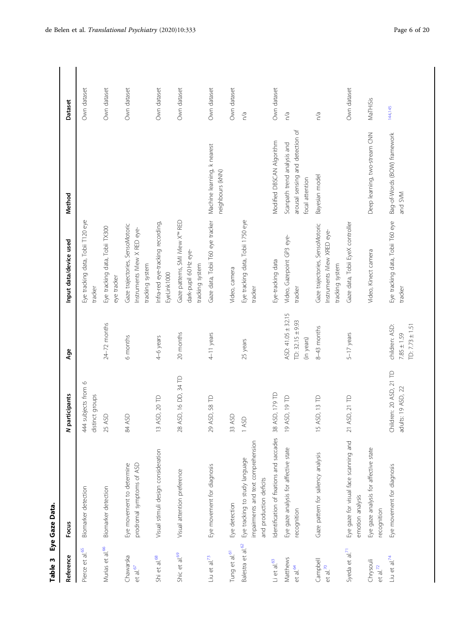<span id="page-5-0"></span>

| Reference                           | Focus                                                                                           | N participants                                | Age                                                      | Input data/device used                                                                  | Method                                                                             | <b>Dataset</b> |
|-------------------------------------|-------------------------------------------------------------------------------------------------|-----------------------------------------------|----------------------------------------------------------|-----------------------------------------------------------------------------------------|------------------------------------------------------------------------------------|----------------|
| $et$ al. $65$<br>Pierce             | Biomarker detection                                                                             | subjects from 6<br>distinct groups<br>44      |                                                          | Eye tracking data, Tobii T120 eye<br>tracker                                            |                                                                                    | Own dataset    |
| Murias et al. <sup>66</sup>         | Biomarker detection                                                                             | 25 ASD                                        | $24-72$ months                                           | Eye tracking data, Tobii TX300<br>eye tracker                                           |                                                                                    | Own dataset    |
| Chawarska<br>et al. $67$            | prodromal symptoms of ASD<br>Eye movement to determine                                          | 84 ASD                                        | 6 months                                                 | Gaze trajectories, SensoMotoric<br>Instruments IView X RED eye-<br>tracking system      |                                                                                    | Own dataset    |
| Shi et al. <sup>68</sup>            | Visual stimuli design consideration                                                             | ASD, 20 TD<br>$\frac{1}{2}$                   | 4-6 years                                                | Infra-red eye-tracking recording,<br>EyeLink1000                                        |                                                                                    | Own dataset    |
| Shic et al. <sup>69</sup>           | Visual attention preference                                                                     | 28 ASD, 16 DD, 34 TD                          | 20 months                                                | Gaze patterns, SMI iView X <sup>™</sup> RED<br>dark-pupil 60 Hz eye-<br>tracking system |                                                                                    | Own dataset    |
| Liu et al. <sup>73</sup>            | Eye movement for diagnosis                                                                      | 29 ASD, 58 TD                                 | 4-11 years                                               | Gaze data, Tobii T60 eye tracker Machine learning, k nearest                            | neighbours (kNN)                                                                   | Own dataset    |
| Tung et al. <sup>61</sup>           | Eye detection                                                                                   | 33 ASD                                        |                                                          | Video, camera                                                                           |                                                                                    | Own dataset    |
| Balestra et al. <sup>62</sup>       | impairments and text comprehension<br>Eye tracking to study language<br>and production deficits | 1 ASD                                         | 25 years                                                 | Eye tracking data, Tobii 1750 eye<br>tracker                                            |                                                                                    | n/a            |
| $\mathsf{Li}\xspace$ et al. $^{63}$ | Identification of fixations and saccades                                                        | ASD, 179 TD<br>38 <sub>l</sub>                |                                                          | Eye-tracking data                                                                       | Modified DBSCAN Algorithm                                                          | Own dataset    |
| Matthews<br>et al. <sup>64</sup>    | Eye gaze analysis for affective state<br>recognition                                            | ASD, 19 TD<br>$\overline{6}$                  | ASD: 41.05 ± 32.15<br>TD: $32.15 \pm 9.93$<br>(in years) | Video, Gazepoint GP3 eye-<br>tracker                                                    | arousal sensing and detection of<br>Scanpath trend analysis and<br>focal attention | n/a            |
| Campbell<br>et al. $70$             | Gaze pattern for saliency analysis                                                              | ASD, 13 TD<br>$\frac{5}{1}$                   | 8-43 months                                              | Gaze trajectories, SensoMotoric<br>Instruments iView XRED eye-<br>tracking system       | Bayesian model                                                                     | n/a            |
| Syeda et al. <sup>71</sup>          | Eye gaze for visual face scanning and<br>emotion analysis                                       | 21 ASD, 21 TD                                 | 5-17 years                                               | Gaze data, Tobii EyeX controller                                                        |                                                                                    | Own dataset    |
| Chrysouli<br>$et$ al. $^{72}$       | Eye gaze analysis for affective state<br>recognition                                            |                                               |                                                          | Video, Kinect camera                                                                    | Deep learning, two-stream CNN                                                      | MaTHiSis       |
| Liu et al. $^{74}$                  | Eye movement for diagnosis                                                                      | Children: 20 ASD, 21 TD<br>adults: 19 ASD, 22 | children: ASD:<br>TD: $7.73 \pm 1.51$<br>$7.85 \pm 1.59$ | Eye tracking data, Tobii T60 eye<br>tracker                                             | Bag-of-Words (BOW) framework<br>and SVM                                            | 144,145        |

Table 3 Eye Gaze Data. Table 3 Eye Gaze Data.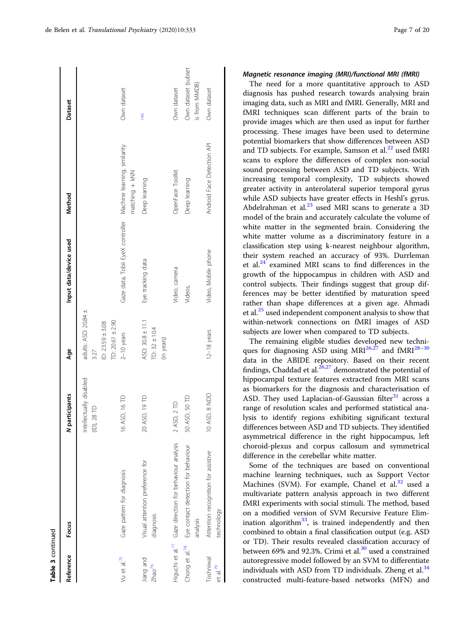| Table 3 continued                 |                                                                    |                                        |                                                                          |                                                               |                            |                                      |
|-----------------------------------|--------------------------------------------------------------------|----------------------------------------|--------------------------------------------------------------------------|---------------------------------------------------------------|----------------------------|--------------------------------------|
| Reference                         | Focus                                                              | participants<br>z                      | Age                                                                      | Input data/device used                                        | Method                     | Dataset                              |
|                                   |                                                                    | intellectually disabled<br>(ID), 28 TD | adults: ASD: 20.84 ±<br>TD: 20.61 ± 2.90<br>ID: $23.59 \pm 3.08$<br>3.27 |                                                               |                            |                                      |
| Vu et al. <sup>75</sup>           | Gaze pattern for diagnosis                                         | ASD, 16 TD<br>$\frac{6}{1}$            | $2-10$ years                                                             | Gaze data, Tobii EyeX controller Machine learning, similarity | matching + kNN             | Own dataset                          |
| Jiang and<br>Zhao <sup>76</sup>   | Visual attention preference for<br>diagnosis                       | ASD, 19 TD<br>$\overline{c}$           | ASD: 30.8 ± 11.1<br>TD: $32 \pm 10.4$<br>(in years)                      | Eye tracking data                                             | Deep learning              | 146                                  |
|                                   | Higuchi et al. <sup>77</sup> Gaze direction for behaviour analysis | 2 ASD, 2 TD                            |                                                                          | Video, camera                                                 | OpenFace Toolkit           | Own dataset                          |
| Chong et al. <sup>78</sup>        | Eye contact detection for behaviour<br>analysis                    | ASD, 50 TD<br>50                       |                                                                          | Videos,                                                       | Deep learning              | Own dataset (subset<br>is from MMDB) |
| Toshniwal<br>et al. <sup>79</sup> | Attention recognition for assistive<br>technology                  | ASD, 8 NDD                             | 12-18 years                                                              | Video, Mobile phone                                           | Android Face Detection API | Own dataset                          |

The need for a more quantitative approach to ASD diagnosis has pushed research towards analysing brain imaging data, such as MRI and fMRI. Generally, MRI and fMRI techniques scan different parts of the brain to provide images which are then used as input for further processing. These images have been used to determine potential biomarkers that show differences between ASD and TD subjects. For example, Samson et al. $^{22}$  $^{22}$  $^{22}$  used fMRI scans to explore the differences of complex non-social sound processing between ASD and TD subjects. With increasing temporal complexity, TD subjects showed greater activity in anterolateral superior temporal gyrus while ASD subjects have greater effects in Heshl's gyrus. Abdelrahman et al. $^{23}$  $^{23}$  $^{23}$  used MRI scans to generate a 3D model of the brain and accurately calculate the volume of white matter in the segmented brain. Considering the white matter volume as a discriminatory feature in a classification step using k-nearest neighbour algorithm, their system reached an accuracy of 93%. Durrleman et al. $^{24}$  examined MRI scans to find differences in the growth of the hippocampus in children with ASD and control subjects. Their findings suggest that group differences may be better identified by maturation speed rather than shape differences at a given age. Ahmadi et al.[25](#page-16-0) used independent component analysis to show that within-network connections on fMRI images of ASD subjects are lower when compared to TD subjects.

The remaining eligible studies developed new techniques for diagnosing ASD using  $MRI^{26,27}$  $MRI^{26,27}$  $MRI^{26,27}$  and  $fMRI^{28-30}$  $fMRI^{28-30}$  $fMRI^{28-30}$  $fMRI^{28-30}$  $fMRI^{28-30}$ data in the ABIDE repository. Based on their recent findings, Chaddad et al. $26,27$  demonstrated the potential of hippocampal texture features extracted from MRI scans as biomarkers for the diagnosis and characterisation of ASD. They used Laplacian-of-Gaussian filter $31$  across a range of resolution scales and performed statistical analysis to identify regions exhibiting significant textural differences between ASD and TD subjects. They identified asymmetrical difference in the right hippocampus, left choroid-plexus and corpus callosum and symmetrical difference in the cerebellar white matter.

Some of the techniques are based on conventional machine learning techniques, such as Support Vector Machines (SVM). For example, Chanel et al. $32$  used a multivariate pattern analysis approach in two different fMRI experiments with social stimuli. The method, based on a modified version of SVM Recursive Feature Elim-ination algorithm<sup>[33](#page-16-0)</sup>, is trained independently and then combined to obtain a final classification output (e.g. ASD or TD). Their results revealed classification accuracy of between 69% and 92.3%. Crimi et al. $30$  used a constrained autoregressive model followed by an SVM to differentiate individuals with ASD from TD individuals. Zheng et al. $34$ constructed multi-feature-based networks (MFN) and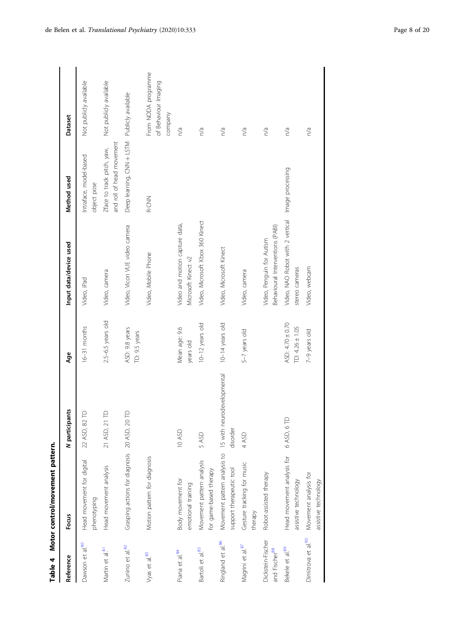<span id="page-7-0"></span>

| Table 4                                        | Motor control/movement pattern.                                                     |                           |                                         |                                                                     |                                                         |                                                        |
|------------------------------------------------|-------------------------------------------------------------------------------------|---------------------------|-----------------------------------------|---------------------------------------------------------------------|---------------------------------------------------------|--------------------------------------------------------|
| Reference                                      | Focus                                                                               | N participants            | Age                                     | Input data/device used                                              | Method used                                             | <b>Dataset</b>                                         |
| Dawson et al.80                                | Head movement for digital<br>phenotyping                                            | 22 ASD, 82 TD             | $16-31$ months                          | Video, iPad                                                         | Intraface, model-based<br>object pose                   | Not publicly available                                 |
| Martin et al. <sup>81</sup>                    | Head movement analysis                                                              | $\supseteq$<br>21 ASD, 21 | $2.5 - 6.5$ years old                   | Video, camera                                                       | and roll of head movement<br>Zface to track pitch, yaw, | Not publicly available                                 |
| Zunino et al.82                                | Grasping actions for diagnosis 20 ASD, 20 TD                                        |                           | ASD: 9.8 years<br>TD: 9.5 years         | Video, Vicon VUE video camera                                       | Deep learning, CNN + LSTM Publicly available            |                                                        |
| Vyas et al. <sup>83</sup>                      | Motion pattern for diagnosis                                                        |                           |                                         | Video, Mobile Phone                                                 | R-CNN                                                   | From NODA programme<br>of Behaviour Imaging<br>company |
| Piana et al. <sup>84</sup>                     | Body movement for<br>emotional training                                             | 10 ASD                    | Mean age: 9.6<br>years old              | Video and motion capture data,<br>Microsoft Kinect v2               |                                                         | n/a                                                    |
| Bartoli et al. <sup>85</sup>                   | Movement pattern analysis<br>for game-based therapy                                 | 5 ASD                     | $10-12$ years old                       | Video, Microsoft Xbox 360 Kinect                                    |                                                         | n/a                                                    |
| Ringland et al.86                              | Movement pattern analysis to 15 with neurodevelopmental<br>support therapeutic tool | disorder                  | $10-14$ years old                       | Video, Microsoft Kinect                                             |                                                         | n/a                                                    |
| Magrini et al.87                               | Gesture tracking for music<br>therapy                                               | 4 ASD                     | 5-7 years old                           | Video, camera                                                       |                                                         | n/a                                                    |
| Dickstein-Fischer<br>and Fischer <sup>88</sup> | Robot-assisted therapy                                                              |                           |                                         | Behavioural Interventions (PABI)<br>Video, Penguin for Autism       |                                                         | n/a                                                    |
| Bekele et al.89                                | Head movement analysis for<br>assistive technology                                  | 6 ASD, 6 TD               | ASD: 4.70 ± 0.70<br>TD: $4.26 \pm 1.05$ | Video, NAO Robot with 2 vertical Image processing<br>stereo cameras |                                                         | n/a                                                    |
| Dimitrova et al.90                             | Movement analysis for<br>assistive technology                                       |                           | 7-9 years old                           | Video, webcam                                                       |                                                         | n/a                                                    |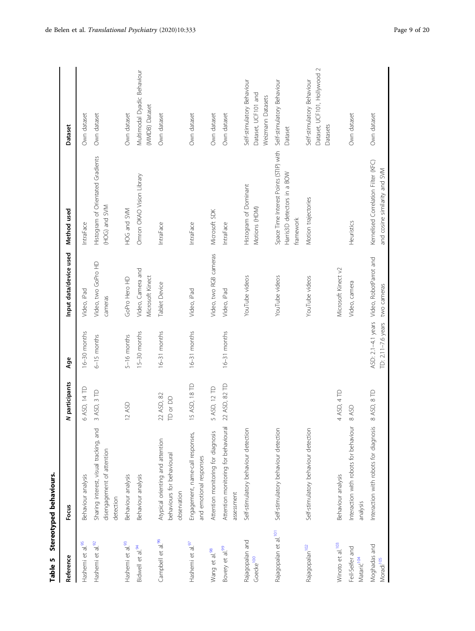<span id="page-8-0"></span>

| Table 5                                   | Stereotyped behaviours.                                                           |                        |                                          |                                       |                                                                                    |                                                                        |
|-------------------------------------------|-----------------------------------------------------------------------------------|------------------------|------------------------------------------|---------------------------------------|------------------------------------------------------------------------------------|------------------------------------------------------------------------|
| Reference                                 | Focus                                                                             | N participants         | Age                                      | Input data/device used                | Method used                                                                        | Dataset                                                                |
| Hashemi et al.95                          | Behaviour analysis                                                                | 6 ASD, 14 TD           | $16-30$ months                           | Video, iPad                           | IntraFace                                                                          | Own dataset                                                            |
| Hashemi et al.92                          | Sharing interest, visual tracking, and<br>disengagement of attention<br>detection | 3 ASD, 3 TD            | $6-15$ months                            | Video, two GoPro HD<br>cameras        | Histogram of Orientated Gradients<br>(HOG) and SVM                                 | Own dataset                                                            |
| Hashemi et al.93                          | Behaviour analysis                                                                | 12 ASD                 | 5-16 months                              | GoPro Hero HD                         | HOG and SVM                                                                        | Own dataset                                                            |
| Bidwell et al. <sup>94</sup>              | Behaviour analysis                                                                |                        | 15-30 months                             | Video, Camera and<br>Microsoft Kinect | Omron OKAO Vision Library                                                          | Multimodal Dyadic Behaviour<br>(MMDB) Dataset                          |
| Campbell et al. <sup>96</sup>             | Atypical orienting and attention<br>behaviours for behavioural<br>observation     | 22 ASD, 82<br>TD or DD | $16-31$ months                           | Tablet Device                         | IntraFace                                                                          | Own dataset                                                            |
| Hashemi et al.97                          | Engagement, name-call responses,<br>and emotional responses                       | 15 ASD, 18 TD          | $16-31$ months                           | Video, iPad                           | IntraFace                                                                          | Own dataset                                                            |
| Wang et al.98                             | Attention monitoring for diagnosis                                                | 5 ASD, 12 TD           |                                          | Video, two RGB cameras                | Microsoft SDK                                                                      | Own dataset                                                            |
| Bovery et al.99                           | Attention monitoring for behavioural<br>assessment                                | 22 ASD, 82 TD          | $16-31$ months                           | Video, iPad                           | IntraFace                                                                          | Own dataset                                                            |
| Rajagopalan and<br>Goecke <sup>100</sup>  | Self-stimulatory behaviour detection                                              |                        |                                          | YouTube videos                        | Histogram of Dominant<br>Motions (HDM)                                             | Self-stimulatory Behaviour<br>Dataset, UCF101 and<br>Weizmann Datasets |
| Rajagopalan et al. <sup>101</sup>         | Self-stimulatory behaviour detection                                              |                        |                                          | YouTube videos                        | Space Time Interest Points (STIP) with<br>Harris3D detectors in a BOW<br>framework | Self-stimulatory Behaviour<br>Dataset                                  |
| Rajagopalan <sup>102</sup>                | Self-stimulatory behaviour detection                                              |                        |                                          | YouTube videos                        | Motion trajectories                                                                | Dataset, UCF101, Hollywood 2<br>Self-stimulatory Behaviour<br>Datasets |
| Winoto et al. <sup>103</sup>              | Behaviour analysis                                                                | 4 ASD, 4 TD            |                                          | Microsoft Kinect v2                   |                                                                                    |                                                                        |
| Feil-Seifer and<br>Matarić <sup>104</sup> | Interaction with robots for behaviour<br>analysis                                 | 8 ASD                  |                                          | Video, camera                         | Heuristics                                                                         | Own dataset                                                            |
| Moghadas and<br>Moradi <sup>105</sup>     | Interaction with robots for diagnosis                                             | 8 ASD, 8 TD            | ASD: 2.1-4.1 years<br>TD: 2.11-7.6 years | Video, RobotParrot and<br>two cameras | Kernelised Correlation Filter (KFC)<br>and cosine similarity and SVM               | Own dataset                                                            |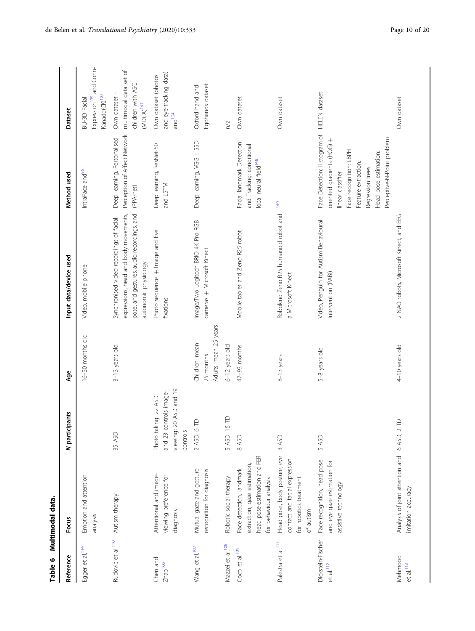<span id="page-9-0"></span>

| Table 6                                      | Multimodal data.                                                                                                   |                                                                                      |                                                      |                                                                                                                                                       |                                                                                                                                                                                                             |                                                                                  |
|----------------------------------------------|--------------------------------------------------------------------------------------------------------------------|--------------------------------------------------------------------------------------|------------------------------------------------------|-------------------------------------------------------------------------------------------------------------------------------------------------------|-------------------------------------------------------------------------------------------------------------------------------------------------------------------------------------------------------------|----------------------------------------------------------------------------------|
| Reference                                    | Focus                                                                                                              | N participants                                                                       | Age                                                  | Input data/device used                                                                                                                                | Method used                                                                                                                                                                                                 | Dataset                                                                          |
| Egger et al. <sup>114</sup>                  | Emotion and attention<br>analysis                                                                                  |                                                                                      | 16-30 months old                                     | Video, mobile phone                                                                                                                                   | IntraFace and <sup>95</sup>                                                                                                                                                                                 | Expression <sup>135</sup> and Cohn-<br>Kanade(CK) <sup>127</sup><br>BU-3D Facial |
| Rudovic et al. <sup>110</sup>                | Autism therapy                                                                                                     | 35 ASD                                                                               | 3-13 years old                                       | pose, and gestures, audio recordings, and<br>expressions, head and body movements,<br>Synchronised video recordings of facial<br>autonomic physiology | Perception of Affect Network<br>Deep learning, Personalised<br>(PPA-net)                                                                                                                                    | multimodal data set of<br>children with ASC<br>Own dataset<br>$(MDCA)^{147}$     |
| Chen and<br>Zhao <sup>106</sup>              | Attentional and image-<br>viewing preference for<br>diagnosis                                                      | viewing: 20 ASD and 19<br>and 23 controls image-<br>Photo taking: 22 ASD<br>controls |                                                      | Photo sequence + Image and Eye<br>fixations                                                                                                           | Deep learning, ResNet-50<br>and LSTM                                                                                                                                                                        | and eye-tracking data)<br>Own dataset (photos<br>and $124$                       |
| Wang et al. <sup>107</sup>                   | Mutual gaze and gesture<br>recognition for diagnosis                                                               | 2 ASD, 6 TD                                                                          | Adults: mean 25 years<br>Children: mean<br>25 months | Image/Two Logitech BRIO 4K Pro RGB<br>cameras + Microsoft Kinect                                                                                      | Deep learning, VGG + SSD                                                                                                                                                                                    | Egohands dataset<br>Oxford hand and                                              |
| Mazzei et al. <sup>108</sup>                 | Robotic social therapy                                                                                             | $\triangle$<br>5 ASD, 15                                                             | 6-12 years old                                       |                                                                                                                                                       |                                                                                                                                                                                                             | $\sqrt{a}$                                                                       |
| Coco et al. <sup>109</sup>                   | head pose estimation and FER<br>extraction, gaze estimation,<br>Face detection, landmark<br>for behaviour analysis | 8 ASD                                                                                | 47-93 months                                         | Mobile tablet and Zeno R25 robot                                                                                                                      | Facial landmark Detection<br>and Tracking: conditional<br>local neural field <sup>148</sup>                                                                                                                 | Own dataset                                                                      |
| Palestra et al. <sup>111</sup>               | Head pose, body posture, eye<br>contact and facial expression<br>for robotics treatment<br>of autism               | 3 ASD                                                                                | 8-13 years                                           | Robokind Zeno R25 humanoid robot and<br>a Microsoft Kinect                                                                                            | 149                                                                                                                                                                                                         | Own dataset                                                                      |
| Dickstein-Fischer<br>$et$ al. <sup>112</sup> | Face recognition, head pose<br>and eye gaze estimation for<br>assistive technology                                 | 5 ASD                                                                                | 5-8 years old                                        | Video, Penguin for Autism Behavioural<br>Intervention (PABI)                                                                                          | Face Detection: Histogram of<br>Perceptive-N-Point problem<br>oriented gradients (HOG) +<br>Face recognition: LBPH<br>Head pose estimation:<br>Feature extraction:<br>Regression trees<br>linear classifier | <b>HELEN</b> dataset                                                             |
| Mehmood<br>$et$ al. <sup>113</sup>           | Analysis of joint attention and<br>imitation accuracy                                                              | $\in$<br>6 ASD, 2                                                                    | 4-10 years old                                       | 2 NAO robots, Microsoft Kinect, and EEG                                                                                                               |                                                                                                                                                                                                             | Own dataset                                                                      |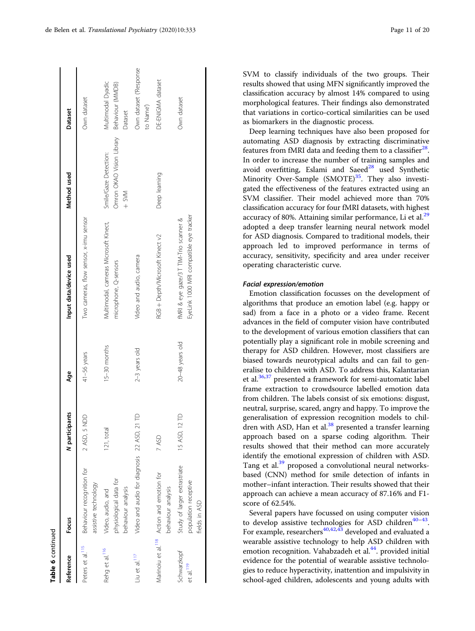| Table 6 continued                    |                                                                             |                 |                   |                                                                                   |                                                               |                                                         |
|--------------------------------------|-----------------------------------------------------------------------------|-----------------|-------------------|-----------------------------------------------------------------------------------|---------------------------------------------------------------|---------------------------------------------------------|
| Reference                            | Focus                                                                       | N participants  | Age               | Input data/device used                                                            | Method used                                                   | Dataset                                                 |
| Peters et al. <sup>115</sup>         | Behaviour recognition for<br>assistive technology                           | 2 ASD, 5 NDD    | 41-56 years       | Two cameras, flow sensor, x-imu sensor                                            |                                                               | Own dataset                                             |
| Rehg et al. <sup>116</sup>           | physiological data for<br>behaviour analysis<br>Video, audio, and           | 121, total      | 15-30 months      | Multimodal, cameras Microsoft Kinect,<br>microphone, Q-sensors                    | Omron OKAO Vision Library<br>Smile/Gaze Detection:<br>$+$ SVM | Multimodal Dyadic<br>Behaviour (MMDB)<br><b>Dataset</b> |
| Liu et al. <sup>117</sup>            | Video and audio for diagnosis 22 ASD, 21                                    | ₽               | $2-3$ years old   | Video and audio, camera                                                           |                                                               | Own dataset ('Response<br>to Name')                     |
|                                      | Marinoiu et al. <sup>118</sup> Action and emotion for<br>behaviour analysis | 7 ASD           |                   | RGB + Depth/Microsoft Kinect v2                                                   | Deep learning                                                 | DE-ENIGMA dataset                                       |
| Schwarzkopf<br>et al. <sup>119</sup> | Study of larger extrastriate<br>population receptive<br>fields in ASD       | ₽<br>15 ASD, 12 | $20-48$ years old | EyeLink 1000 MRI compatible eye tracker<br>fMRI & eye gaze/3 T TIM-Trio scanner & |                                                               | Own dataset                                             |

SVM to classify individuals of the two groups. Their results showed that using MFN significantly improved the classification accuracy by almost 14% compared to using morphological features. Their findings also demonstrated that variations in cortico-cortical similarities can be used as biomarkers in the diagnostic process.

Deep learning techniques have also been proposed for automating ASD diagnosis by extracting discriminative features from fMRI data and feeding them to a classifier $^{28}$  $^{28}$  $^{28}$ . In order to increase the number of training samples and avoid overfitting, Eslami and Saeed $^{28}$  $^{28}$  $^{28}$  used Synthetic Minority Over-Sample  $(SMOTE)^{35}$ . They also investigated the effectiveness of the features extracted using an SVM classifier. Their model achieved more than 70% classification accuracy for four fMRI datasets, with highest accuracy of 80%. Attaining similar performance, Li et al.<sup>[29](#page-16-0)</sup> adopted a deep transfer learning neural network model for ASD diagnosis. Compared to traditional models, their approach led to improved performance in terms of accuracy, sensitivity, specificity and area under receiver operating characteristic curve.

# Facial expression/emotion

Emotion classification focusses on the development of algorithms that produce an emotion label (e.g. happy or sad) from a face in a photo or a video frame. Recent advances in the field of computer vision have contributed to the development of various emotion classifiers that can potentially play a significant role in mobile screening and therapy for ASD children. However, most classifiers are biased towards neurotypical adults and can fail to generalise to children with ASD. To address this, Kalantarian et al.<sup>[36,37](#page-16-0)</sup> presented a framework for semi-automatic label frame extraction to crowdsource labelled emotion data from children. The labels consist of six emotions: disgust, neutral, surprise, scared, angry and happy. To improve the generalisation of expression recognition models to children with ASD, Han et al. $38$  presented a transfer learning approach based on a sparse coding algorithm. Their results showed that their method can more accurately identify the emotional expression of children with ASD. Tang et al.<sup>[39](#page-16-0)</sup> proposed a convolutional neural networksbased (CNN) method for smile detection of infants in mother–infant interaction. Their results showed that their approach can achieve a mean accuracy of 87.16% and F1 score of 62.54%.

Several papers have focussed on using computer vision to develop assistive technologies for ASD children<sup>[40](#page-16-0)-[43](#page-16-0)</sup>. For example, researchers<sup>[40,42](#page-16-0),[43](#page-16-0)</sup> developed and evaluated a wearable assistive technology to help ASD children with emotion recognition. Vahabzadeh et al.<sup>44</sup>. provided initial evidence for the potential of wearable assistive technologies to reduce hyperactivity, inattention and impulsivity in school-aged children, adolescents and young adults with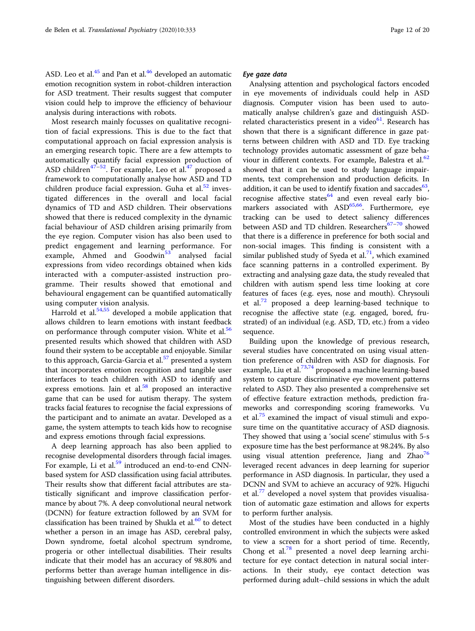ASD. Leo et al. $45$  and Pan et al. $46$  developed an automatic emotion recognition system in robot-children interaction for ASD treatment. Their results suggest that computer vision could help to improve the efficiency of behaviour analysis during interactions with robots.

Most research mainly focusses on qualitative recognition of facial expressions. This is due to the fact that computational approach on facial expression analysis is an emerging research topic. There are a few attempts to automatically quantify facial expression production of ASD children<sup>[47](#page-16-0)-52</sup>. For example, Leo et al.<sup>47</sup> proposed a framework to computationally analyse how ASD and TD children produce facial expression. Guha et al. $52$  investigated differences in the overall and local facial dynamics of TD and ASD children. Their observations showed that there is reduced complexity in the dynamic facial behaviour of ASD children arising primarily from the eye region. Computer vision has also been used to predict engagement and learning performance. For example, Ahmed and Goodwin<sup>[53](#page-17-0)</sup> analysed facial expressions from video recordings obtained when kids interacted with a computer-assisted instruction programme. Their results showed that emotional and behavioural engagement can be quantified automatically using computer vision analysis.

Harrold et al. $54,55$  $54,55$  $54,55$  developed a mobile application that allows children to learn emotions with instant feedback on performance through computer vision. White et al.<sup>[56](#page-17-0)</sup> presented results which showed that children with ASD found their system to be acceptable and enjoyable. Similar to this approach, Garcia-Garcia et al.<sup>[57](#page-17-0)</sup> presented a system that incorporates emotion recognition and tangible user interfaces to teach children with ASD to identify and express emotions. Jain et al. $58$  proposed an interactive game that can be used for autism therapy. The system tracks facial features to recognise the facial expressions of the participant and to animate an avatar. Developed as a game, the system attempts to teach kids how to recognise and express emotions through facial expressions.

A deep learning approach has also been applied to recognise developmental disorders through facial images. For example, Li et al.<sup>[59](#page-17-0)</sup> introduced an end-to-end CNNbased system for ASD classification using facial attributes. Their results show that different facial attributes are statistically significant and improve classification performance by about 7%. A deep convolutional neural network (DCNN) for feature extraction followed by an SVM for classification has been trained by Shukla et al. $60$  to detect whether a person in an image has ASD, cerebral palsy, Down syndrome, foetal alcohol spectrum syndrome, progeria or other intellectual disabilities. Their results indicate that their model has an accuracy of 98.80% and performs better than average human intelligence in distinguishing between different disorders.

#### Eye gaze data

Analysing attention and psychological factors encoded in eye movements of individuals could help in ASD diagnosis. Computer vision has been used to automatically analyse children's gaze and distinguish ASDrelated characteristics present in a video $61$ . Research has shown that there is a significant difference in gaze patterns between children with ASD and TD. Eye tracking technology provides automatic assessment of gaze beha-viour in different contexts. For example, Balestra et al.<sup>[62](#page-17-0)</sup> showed that it can be used to study language impairments, text comprehension and production deficits. In addition, it can be used to identify fixation and saccades $^{63}$  $^{63}$  $^{63}$ , recognise affective states $64$  and even reveal early biomarkers associated with  $ASD<sup>65,66</sup>$  $ASD<sup>65,66</sup>$  $ASD<sup>65,66</sup>$ . Furthermore, eye tracking can be used to detect saliency differences between ASD and TD children. Researchers $67-70$  $67-70$  $67-70$  showed that there is a difference in preference for both social and non-social images. This finding is consistent with a similar published study of Syeda et al.<sup>71</sup>, which examined face scanning patterns in a controlled experiment. By extracting and analysing gaze data, the study revealed that children with autism spend less time looking at core features of faces (e.g. eyes, nose and mouth). Chrysouli et al. $72$  proposed a deep learning-based technique to recognise the affective state (e.g. engaged, bored, frustrated) of an individual (e.g. ASD, TD, etc.) from a video sequence.

Building upon the knowledge of previous research, several studies have concentrated on using visual attention preference of children with ASD for diagnosis. For example, Liu et al.<sup>73,74</sup> proposed a machine learning-based system to capture discriminative eye movement patterns related to ASD. They also presented a comprehensive set of effective feature extraction methods, prediction frameworks and corresponding scoring frameworks. Vu et al.<sup>[75](#page-17-0)</sup> examined the impact of visual stimuli and exposure time on the quantitative accuracy of ASD diagnosis. They showed that using a 'social scene' stimulus with 5-s exposure time has the best performance at 98.24%. By also using visual attention preference, Jiang and Zhao<sup>[76](#page-17-0)</sup> leveraged recent advances in deep learning for superior performance in ASD diagnosis. In particular, they used a DCNN and SVM to achieve an accuracy of 92%. Higuchi et al.[77](#page-17-0) developed a novel system that provides visualisation of automatic gaze estimation and allows for experts to perform further analysis.

Most of the studies have been conducted in a highly controlled environment in which the subjects were asked to view a screen for a short period of time. Recently, Chong et al.<sup>[78](#page-17-0)</sup> presented a novel deep learning architecture for eye contact detection in natural social interactions. In their study, eye contact detection was performed during adult–child sessions in which the adult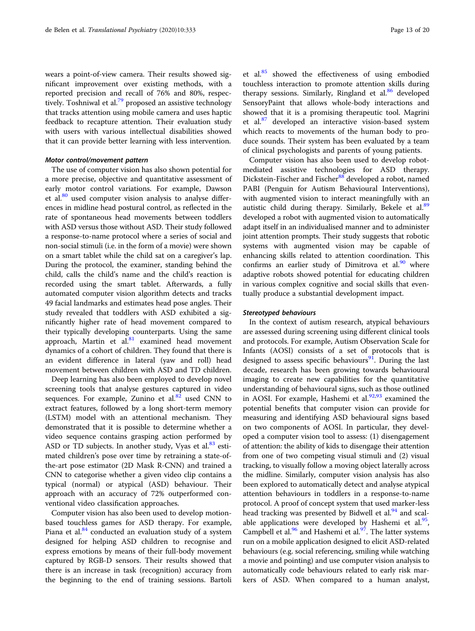wears a point-of-view camera. Their results showed significant improvement over existing methods, with a reported precision and recall of 76% and 80%, respec-tively. Toshniwal et al.<sup>[79](#page-17-0)</sup> proposed an assistive technology that tracks attention using mobile camera and uses haptic feedback to recapture attention. Their evaluation study with users with various intellectual disabilities showed that it can provide better learning with less intervention.

# Motor control/movement pattern

The use of computer vision has also shown potential for a more precise, objective and quantitative assessment of early motor control variations. For example, Dawson et al. $80$  used computer vision analysis to analyse differences in midline head postural control, as reflected in the rate of spontaneous head movements between toddlers with ASD versus those without ASD. Their study followed a response-to-name protocol where a series of social and non-social stimuli (i.e. in the form of a movie) were shown on a smart tablet while the child sat on a caregiver's lap. During the protocol, the examiner, standing behind the child, calls the child's name and the child's reaction is recorded using the smart tablet. Afterwards, a fully automated computer vision algorithm detects and tracks 49 facial landmarks and estimates head pose angles. Their study revealed that toddlers with ASD exhibited a significantly higher rate of head movement compared to their typically developing counterparts. Using the same approach, Martin et al. $81$  examined head movement dynamics of a cohort of children. They found that there is an evident difference in lateral (yaw and roll) head movement between children with ASD and TD children.

Deep learning has also been employed to develop novel screening tools that analyse gestures captured in video sequences. For example, Zunino et al. $82$  used CNN to extract features, followed by a long short-term memory (LSTM) model with an attentional mechanism. They demonstrated that it is possible to determine whether a video sequence contains grasping action performed by ASD or TD subjects. In another study, Vyas et al. $83$  estimated children's pose over time by retraining a state-ofthe-art pose estimator (2D Mask R-CNN) and trained a CNN to categorise whether a given video clip contains a typical (normal) or atypical (ASD) behaviour. Their approach with an accuracy of 72% outperformed conventional video classification approaches.

Computer vision has also been used to develop motionbased touchless games for ASD therapy. For example, Piana et al. $84$  conducted an evaluation study of a system designed for helping ASD children to recognise and express emotions by means of their full-body movement captured by RGB-D sensors. Their results showed that there is an increase in task (recognition) accuracy from the beginning to the end of training sessions. Bartoli

et al.<sup>[85](#page-17-0)</sup> showed the effectiveness of using embodied touchless interaction to promote attention skills during therapy sessions. Similarly, Ringland et al. $86$  developed SensoryPaint that allows whole-body interactions and showed that it is a promising therapeutic tool. Magrini et al.<sup>[87](#page-17-0)</sup> developed an interactive vision-based system which reacts to movements of the human body to produce sounds. Their system has been evaluated by a team of clinical psychologists and parents of young patients.

Computer vision has also been used to develop robotmediated assistive technologies for ASD therapy. Dickstein-Fischer and Fischer<sup>[88](#page-17-0)</sup> developed a robot, named PABI (Penguin for Autism Behavioural Interventions), with augmented vision to interact meaningfully with an autistic child during therapy. Similarly, Bekele et al.<sup>[89](#page-17-0)</sup> developed a robot with augmented vision to automatically adapt itself in an individualised manner and to administer joint attention prompts. Their study suggests that robotic systems with augmented vision may be capable of enhancing skills related to attention coordination. This confirms an earlier study of Dimitrova et al. $90$  where adaptive robots showed potential for educating children in various complex cognitive and social skills that eventually produce a substantial development impact.

#### Stereotyped behaviours

In the context of autism research, atypical behaviours are assessed during screening using different clinical tools and protocols. For example, Autism Observation Scale for Infants (AOSI) consists of a set of protocols that is designed to assess specific behaviours $91$ . During the last decade, research has been growing towards behavioural imaging to create new capabilities for the quantitative understanding of behavioural signs, such as those outlined in AOSI. For example, Hashemi et al. $92,93$  $92,93$  $92,93$  examined the potential benefits that computer vision can provide for measuring and identifying ASD behavioural signs based on two components of AOSI. In particular, they developed a computer vision tool to assess: (1) disengagement of attention: the ability of kids to disengage their attention from one of two competing visual stimuli and (2) visual tracking, to visually follow a moving object laterally across the midline. Similarly, computer vision analysis has also been explored to automatically detect and analyse atypical attention behaviours in toddlers in a response-to-name protocol. A proof of concept system that used marker-less head tracking was presented by Bidwell et al.<sup>[94](#page-18-0)</sup> and scalable applications were developed by Hashemi et al. $^{95}$  $^{95}$  $^{95}$ , Campbell et al. $\frac{96}{6}$  $\frac{96}{6}$  $\frac{96}{6}$  and Hashemi et al. $\frac{97}{6}$  $\frac{97}{6}$  $\frac{97}{6}$ . The latter systems run on a mobile application designed to elicit ASD-related behaviours (e.g. social referencing, smiling while watching a movie and pointing) and use computer vision analysis to automatically code behaviours related to early risk markers of ASD. When compared to a human analyst,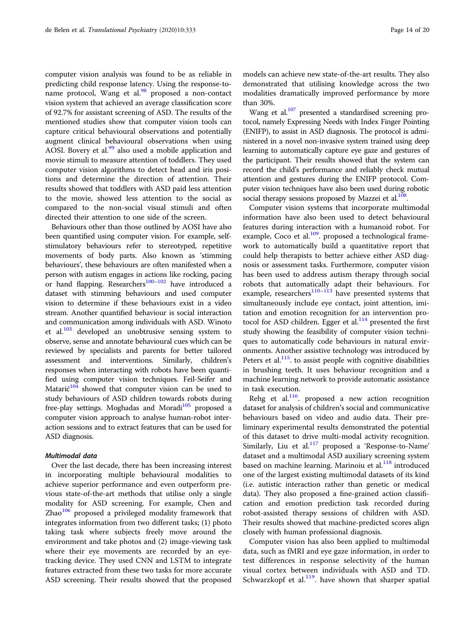computer vision analysis was found to be as reliable in predicting child response latency. Using the response-toname protocol, Wang et al. $\frac{98}{100}$  $\frac{98}{100}$  $\frac{98}{100}$  proposed a non-contact vision system that achieved an average classification score of 92.7% for assistant screening of ASD. The results of the mentioned studies show that computer vision tools can capture critical behavioural observations and potentially augment clinical behavioural observations when using AOSI. Bovery et al.<sup>99</sup> also used a mobile application and movie stimuli to measure attention of toddlers. They used computer vision algorithms to detect head and iris positions and determine the direction of attention. Their results showed that toddlers with ASD paid less attention to the movie, showed less attention to the social as compared to the non-social visual stimuli and often directed their attention to one side of the screen.

Behaviours other than those outlined by AOSI have also been quantified using computer vision. For example, selfstimulatory behaviours refer to stereotyped, repetitive movements of body parts. Also known as 'stimming behaviours', these behaviours are often manifested when a person with autism engages in actions like rocking, pacing or hand flapping. Researchers<sup>100–[102](#page-18-0)</sup> have introduced a dataset with stimming behaviours and used computer vision to determine if these behaviours exist in a video stream. Another quantified behaviour is social interaction and communication among individuals with ASD. Winoto et al. $\frac{103}{103}$  developed an unobtrusive sensing system to observe, sense and annotate behavioural cues which can be reviewed by specialists and parents for better tailored assessment and interventions. Similarly, children's responses when interacting with robots have been quantified using computer vision techniques. Feil-Seifer and Matarić<sup>[104](#page-18-0)</sup> showed that computer vision can be used to study behaviours of ASD children towards robots during free-play settings. Moghadas and Moradi<sup>[105](#page-18-0)</sup> proposed a computer vision approach to analyse human-robot interaction sessions and to extract features that can be used for ASD diagnosis.

# Multimodal data

Over the last decade, there has been increasing interest in incorporating multiple behavioural modalities to achieve superior performance and even outperform previous state-of-the-art methods that utilise only a single modality for ASD screening. For example, Chen and  $Zhao<sup>106</sup>$  $Zhao<sup>106</sup>$  $Zhao<sup>106</sup>$  proposed a privileged modality framework that integrates information from two different tasks; (1) photo taking task where subjects freely move around the environment and take photos and (2) image-viewing task where their eye movements are recorded by an eyetracking device. They used CNN and LSTM to integrate features extracted from these two tasks for more accurate ASD screening. Their results showed that the proposed models can achieve new state-of-the-art results. They also demonstrated that utilising knowledge across the two modalities dramatically improved performance by more than 30%.

Wang et al. $107$  presented a standardised screening protocol, namely Expressing Needs with Index Finger Pointing (ENIFP), to assist in ASD diagnosis. The protocol is administered in a novel non-invasive system trained using deep learning to automatically capture eye gaze and gestures of the participant. Their results showed that the system can record the child's performance and reliably check mutual attention and gestures during the ENIFP protocol. Computer vision techniques have also been used during robotic social therapy sessions proposed by Mazzei et al. $108$ .

Computer vision systems that incorporate multimodal information have also been used to detect behavioural features during interaction with a humanoid robot. For example, Coco et al. $109$ . proposed a technological framework to automatically build a quantitative report that could help therapists to better achieve either ASD diagnosis or assessment tasks. Furthermore, computer vision has been used to address autism therapy through social robots that automatically adapt their behaviours. For example, researchers $110-113$  $110-113$  $110-113$  have presented systems that simultaneously include eye contact, joint attention, imitation and emotion recognition for an intervention pro-tocol for ASD children. Egger et al.<sup>[114](#page-18-0)</sup> presented the first study showing the feasibility of computer vision techniques to automatically code behaviours in natural environments. Another assistive technology was introduced by Peters et al. $^{115}$ . to assist people with cognitive disabilities in brushing teeth. It uses behaviour recognition and a machine learning network to provide automatic assistance in task execution.

Rehg et al. $116$ . proposed a new action recognition dataset for analysis of children's social and communicative behaviours based on video and audio data. Their preliminary experimental results demonstrated the potential of this dataset to drive multi-modal activity recognition. Similarly, Liu et al.<sup>[117](#page-18-0)</sup> proposed a 'Response-to-Name' dataset and a multimodal ASD auxiliary screening system based on machine learning. Marinoiu et al. $^{118}$  $^{118}$  $^{118}$  introduced one of the largest existing multimodal datasets of its kind (i.e. autistic interaction rather than genetic or medical data). They also proposed a fine-grained action classification and emotion prediction task recorded during robot-assisted therapy sessions of children with ASD. Their results showed that machine-predicted scores align closely with human professional diagnosis.

Computer vision has also been applied to multimodal data, such as fMRI and eye gaze information, in order to test differences in response selectivity of the human visual cortex between individuals with ASD and TD. Schwarzkopf et al. $119$ . have shown that sharper spatial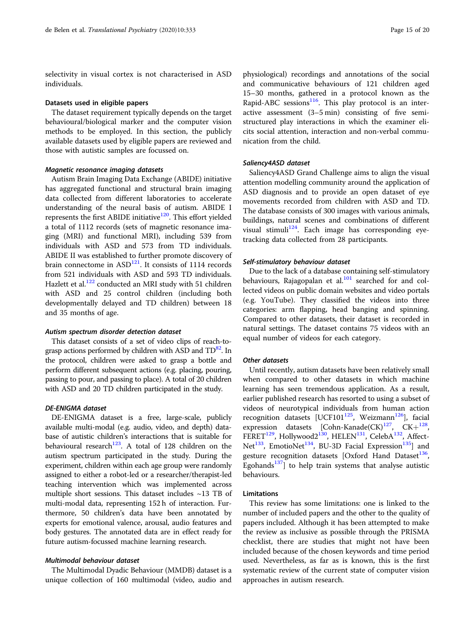selectivity in visual cortex is not characterised in ASD individuals.

#### Datasets used in eligible papers

The dataset requirement typically depends on the target behavioural/biological marker and the computer vision methods to be employed. In this section, the publicly available datasets used by eligible papers are reviewed and those with autistic samples are focussed on.

#### Magnetic resonance imaging datasets

Autism Brain Imaging Data Exchange (ABIDE) initiative has aggregated functional and structural brain imaging data collected from different laboratories to accelerate understanding of the neural basis of autism. ABIDE I represents the first ABIDE initiative<sup>[120](#page-18-0)</sup>. This effort yielded a total of 1112 records (sets of magnetic resonance imaging (MRI) and functional MRI), including 539 from individuals with ASD and 573 from TD individuals. ABIDE II was established to further promote discovery of brain connectome in  $ASD<sup>121</sup>$ . It consists of 1114 records from 521 individuals with ASD and 593 TD individuals. Hazlett et al.<sup>[122](#page-18-0)</sup> conducted an MRI study with 51 children with ASD and 25 control children (including both developmentally delayed and TD children) between 18 and 35 months of age.

#### Autism spectrum disorder detection dataset

This dataset consists of a set of video clips of reach-tograsp actions performed by children with ASD and  $TD^82$ . In the protocol, children were asked to grasp a bottle and perform different subsequent actions (e.g. placing, pouring, passing to pour, and passing to place). A total of 20 children with ASD and 20 TD children participated in the study.

# DE-ENIGMA dataset

DE-ENIGMA dataset is a free, large-scale, publicly available multi-modal (e.g. audio, video, and depth) database of autistic children's interactions that is suitable for behavioural research $123$ . A total of 128 children on the autism spectrum participated in the study. During the experiment, children within each age group were randomly assigned to either a robot-led or a researcher/therapist-led teaching intervention which was implemented across multiple short sessions. This dataset includes ~13 TB of multi-modal data, representing 152 h of interaction. Furthermore, 50 children's data have been annotated by experts for emotional valence, arousal, audio features and body gestures. The annotated data are in effect ready for future autism-focussed machine learning research.

# Multimodal behaviour dataset

The Multimodal Dyadic Behaviour (MMDB) dataset is a unique collection of 160 multimodal (video, audio and

physiological) recordings and annotations of the social and communicative behaviours of 121 children aged 15–30 months, gathered in a protocol known as the Rapid-ABC sessions $116$ . This play protocol is an interactive assessment (3–5 min) consisting of five semistructured play interactions in which the examiner elicits social attention, interaction and non-verbal communication from the child.

#### Saliency4ASD dataset

Saliency4ASD Grand Challenge aims to align the visual attention modelling community around the application of ASD diagnosis and to provide an open dataset of eye movements recorded from children with ASD and TD. The database consists of 300 images with various animals, buildings, natural scenes and combinations of different visual stimuli<sup>124</sup>. Each image has corresponding eyetracking data collected from 28 participants.

# Self-stimulatory behaviour dataset

Due to the lack of a database containing self-stimulatory behaviours, Rajagopalan et al. $101$  searched for and collected videos on public domain websites and video portals (e.g. YouTube). They classified the videos into three categories: arm flapping, head banging and spinning. Compared to other datasets, their dataset is recorded in natural settings. The dataset contains 75 videos with an equal number of videos for each category.

# Other datasets

Until recently, autism datasets have been relatively small when compared to other datasets in which machine learning has seen tremendous application. As a result, earlier published research has resorted to using a subset of videos of neurotypical individuals from human action recognition datasets [UCF101 $125$ , Weizmann $126$ ], facial expression datasets  $[Cohn-Kanade(CK)^{127}, CK+^{128}$  $[Cohn-Kanade(CK)^{127}, CK+^{128}$  $[Cohn-Kanade(CK)^{127}, CK+^{128}$ . FERET<sup>[129](#page-18-0)</sup>, Hollywood2<sup>130</sup>, HELEN<sup>131</sup>, CelebA<sup>132</sup>, Affect-Net<sup>133</sup>, EmotioNet<sup>134</sup>, BU-3D Facial Expression<sup>135</sup>] and gesture recognition datasets [Oxford Hand Dataset<sup>[136](#page-19-0)</sup>, Egohands<sup>[137](#page-19-0)</sup> to help train systems that analyse autistic behaviours.

#### Limitations

This review has some limitations: one is linked to the number of included papers and the other to the quality of papers included. Although it has been attempted to make the review as inclusive as possible through the PRISMA checklist, there are studies that might not have been included because of the chosen keywords and time period used. Nevertheless, as far as is known, this is the first systematic review of the current state of computer vision approaches in autism research.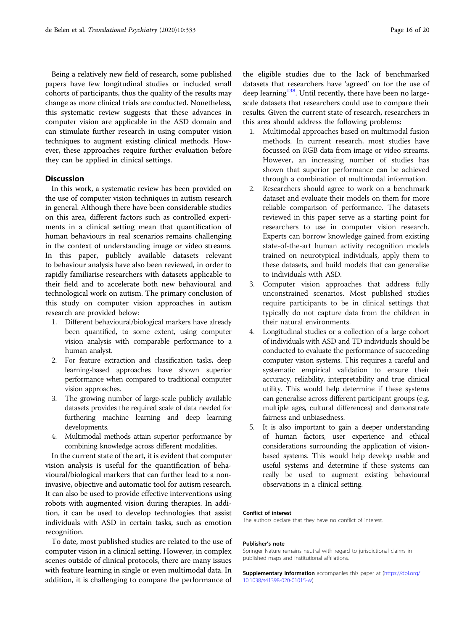Being a relatively new field of research, some published papers have few longitudinal studies or included small cohorts of participants, thus the quality of the results may change as more clinical trials are conducted. Nonetheless, this systematic review suggests that these advances in computer vision are applicable in the ASD domain and can stimulate further research in using computer vision techniques to augment existing clinical methods. However, these approaches require further evaluation before they can be applied in clinical settings.

# **Discussion**

In this work, a systematic review has been provided on the use of computer vision techniques in autism research in general. Although there have been considerable studies on this area, different factors such as controlled experiments in a clinical setting mean that quantification of human behaviours in real scenarios remains challenging in the context of understanding image or video streams. In this paper, publicly available datasets relevant to behaviour analysis have also been reviewed, in order to rapidly familiarise researchers with datasets applicable to their field and to accelerate both new behavioural and technological work on autism. The primary conclusion of this study on computer vision approaches in autism research are provided below:

- 1. Different behavioural/biological markers have already been quantified, to some extent, using computer vision analysis with comparable performance to a human analyst.
- 2. For feature extraction and classification tasks, deep learning-based approaches have shown superior performance when compared to traditional computer vision approaches.
- 3. The growing number of large-scale publicly available datasets provides the required scale of data needed for furthering machine learning and deep learning developments.
- 4. Multimodal methods attain superior performance by combining knowledge across different modalities.

In the current state of the art, it is evident that computer vision analysis is useful for the quantification of behavioural/biological markers that can further lead to a noninvasive, objective and automatic tool for autism research. It can also be used to provide effective interventions using robots with augmented vision during therapies. In addition, it can be used to develop technologies that assist individuals with ASD in certain tasks, such as emotion recognition.

To date, most published studies are related to the use of computer vision in a clinical setting. However, in complex scenes outside of clinical protocols, there are many issues with feature learning in single or even multimodal data. In addition, it is challenging to compare the performance of

the eligible studies due to the lack of benchmarked datasets that researchers have 'agreed' on for the use of deep learning<sup>[138](#page-19-0)</sup>. Until recently, there have been no largescale datasets that researchers could use to compare their results. Given the current state of research, researchers in this area should address the following problems:

- 1. Multimodal approaches based on multimodal fusion methods. In current research, most studies have focussed on RGB data from image or video streams. However, an increasing number of studies has shown that superior performance can be achieved through a combination of multimodal information.
- 2. Researchers should agree to work on a benchmark dataset and evaluate their models on them for more reliable comparison of performance. The datasets reviewed in this paper serve as a starting point for researchers to use in computer vision research. Experts can borrow knowledge gained from existing state-of-the-art human activity recognition models trained on neurotypical individuals, apply them to these datasets, and build models that can generalise to individuals with ASD.
- 3. Computer vision approaches that address fully unconstrained scenarios. Most published studies require participants to be in clinical settings that typically do not capture data from the children in their natural environments.
- 4. Longitudinal studies or a collection of a large cohort of individuals with ASD and TD individuals should be conducted to evaluate the performance of succeeding computer vision systems. This requires a careful and systematic empirical validation to ensure their accuracy, reliability, interpretability and true clinical utility. This would help determine if these systems can generalise across different participant groups (e.g. multiple ages, cultural differences) and demonstrate fairness and unbiasedness.
- 5. It is also important to gain a deeper understanding of human factors, user experience and ethical considerations surrounding the application of visionbased systems. This would help develop usable and useful systems and determine if these systems can really be used to augment existing behavioural observations in a clinical setting.

#### Conflict of interest

The authors declare that they have no conflict of interest.

### Publisher's note

Springer Nature remains neutral with regard to jurisdictional claims in published maps and institutional affiliations.

Supplementary Information accompanies this paper at ([https://doi.org/](https://doi.org/10.1038/s41398-020-01015-w) [10.1038/s41398-020-01015-w](https://doi.org/10.1038/s41398-020-01015-w)).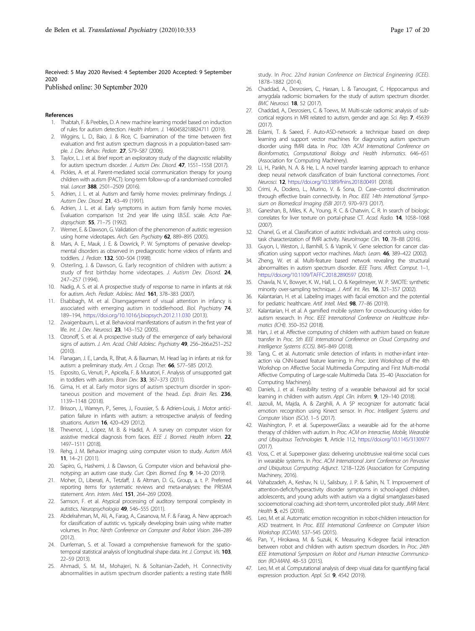<span id="page-16-0"></span>Received: 5 May 2020 Revised: 4 September 2020 Accepted: 9 September 2020

Published online: 30 September 2020

#### References

- 1. Thabtah, F. & Peebles, D. A new machine learning model based on induction of rules for autism detection. Health Inform. J. 1460458218824711 (2019).
- 2. Wiggins, L. D., Baio, J. & Rice, C. Examination of the time between first evaluation and first autism spectrum diagnosis in a population-based sample. J. Dev. Behav. Pediatr. 27, S79–S87 (2006).
- 3. Taylor, L. J. et al. Brief report: an exploratory study of the diagnostic reliability for autism spectrum disorder. J. Autism Dev. Disord. 47, 1551–1558 (2017).
- 4. Pickles, A. et al. Parent-mediated social communication therapy for young children with autism (PACT): long-term follow-up of a randomised controlled trial. Lancet 388, 2501-2509 (2016).
- 5. Adrien, J. L. et al. Autism and family home movies: preliminary findings. J. Autism Dev. Disord. 21, 43-49 (1991).
- 6. Adrien, J. L. et al. Early symptoms in autism from family home movies. Evaluation comparison 1st 2nd year life using I.B.S.E. scale. Acta Paedopsychiatr. 55, 71–75 (1992).
- 7. Werner, E. & Dawson, G. Validation of the phenomenon of autistic regression using home videotapes. Arch. Gen. Psychiatry 62, 889-895 (2005).
- 8. Mars, A. E., Mauk, J. E. & Dowrick, P. W. Symptoms of pervasive developmental disorders as observed in prediagnostic home videos of infants and toddlers. J. Pediatr. 132, 500–504 (1998).
- 9. Osterling, J. & Dawson, G. Early recognition of children with autism: a study of first birthday home videotapes. J. Autism Dev. Disord. 24, 247–257 (1994).
- 10. Nadig, A. S. et al. A prospective study of response to name in infants at risk for autism. Arch. Pediatr. Adolesc. Med. 161, 378-383 (2007).
- 11. Elsabbagh, M. et al. Disengagement of visual attention in infancy is associated with emerging autism in toddlerhood. Biol. Psychiatry 74, 189–194, <https://doi.org/10.1016/j.biopsych.2012.11.030> (2013).
- 12. Zwaigenbaum, L. et al. Behavioral manifestations of autism in the first year of life. Int. J. Dev. Neurosci. 23, 143-152 (2005).
- 13. Ozonoff, S. et al. A prospective study of the emergence of early behavioral signs of autism. J. Am. Acad. Child Adolesc. Psychiatry 49, 256-266.e251-252  $(2010)$
- 14. Flanagan, J. E., Landa, R., Bhat, A. & Bauman, M. Head lag in infants at risk for autism: a preliminary study. Am. J. Occup. Ther. 66, 577-585 (2012).
- 15. Esposito, G., Venuti, P., Apicella, F. & Muratori, F. Analysis of unsupported gait in toddlers with autism. Brain Dev. 33, 367-373 (2011).
- 16. Gima, H. et al. Early motor signs of autism spectrum disorder in spontaneous position and movement of the head. Exp. Brain Res. 236, 1139–1148 (2018).
- 17. Brisson, J., Warreyn, P., Serres, J., Foussier, S. & Adrien-Louis, J. Motor anticipation failure in infants with autism: a retrospective analysis of feeding situations. Autism **16**, 420-429 (2012).
- 18. Thevenot, J., López, M. B. & Hadid, A. A survey on computer vision for assistive medical diagnosis from faces. IEEE J. Biomed. Health Inform. 22, 1497–1511 (2018).
- 19. Rehg, J. M. Behavior imaging: using computer vision to study. Autism MVA 11, 14–21 (2011).
- 20. Sapiro, G., Hashemi, J. & Dawson, G. Computer vision and behavioral phenotyping: an autism case study. Curr. Opin. Biomed. Eng. 9, 14–20 (2019).
- 21. Moher, D., Liberati, A., Tetzlaff, J. & Altman, D. G., Group, a. t. P. Preferred reporting items for systematic reviews and meta-analyses: the PRISMA statement. Ann. Intern. Med. 151, 264–269 (2009).
- 22. Samson, F. et al. Atypical processing of auditory temporal complexity in autistics. Neuropsychologia 49, 546-555 (2011).
- 23. Abdelrahman, M., Ali, A., Farag, A., Casanova, M. F. & Farag, A. New approach for classification of autistic vs. typically developing brain using white matter volumes. In Proc. Ninth Conference on Computer and Robot Vision. 284–289 (2012).
- 24. Durrleman, S. et al. Toward a comprehensive framework for the spatiotemporal statistical analysis of longitudinal shape data. Int. J. Comput. Vis. 103, 22–59 (2013).
- 25. Ahmadi, S. M. M., Mohajeri, N. & Soltanian-Zadeh, H. Connectivity abnormalities in autism spectrum disorder patients: a resting state fMRI

study. In Proc. 22nd Iranian Conference on Electrical Engineering (ICEE). 1878–1882 (2014).

- 26. Chaddad, A., Desrosiers, C., Hassan, L. & Tanougast, C. Hippocampus and amygdala radiomic biomarkers for the study of autism spectrum disorder. BMC Neurosci. 18, 52 (2017).
- 27. Chaddad, A., Desrosiers, C. & Toews, M. Multi-scale radiomic analysis of subcortical regions in MRI related to autism, gender and age. Sci. Rep. 7, 45639  $(2017)$
- 28. Eslami, T. & Saeed, F. Auto-ASD-network: a technique based on deep learning and support vector machines for diagnosing autism spectrum disorder using fMRI data. In Proc. 10th ACM International Conference on Bioinformatics, Computational Biology and Health Informatics. 646–651 (Association for Computing Machinery).
- 29. Li, H., Parikh, N. A. & He, L. A novel transfer learning approach to enhance deep neural network classification of brain functional connectomes. Front. Neurosci. 12, <https://doi.org/10.3389/fnins.2018.00491> (2018).
- 30. Crimi, A., Dodero, L., Murino, V. & Sona, D. Case–control discrimination through effective brain connectivity. In Proc. IEEE 14th International Symposium on Biomedical Imaging (ISBI 2017). 970–973 (2017).
- 31. Ganeshan, B., Miles, K. A., Young, R. C. & Chatwin, C. R. In search of biologic correlates for liver texture on portal-phase CT. Acad. Radio. 14, 1058–1068  $(2007)$
- 32. Chanel, G. et al. Classification of autistic individuals and controls using crosstask characterization of fMRI activity. NeuroImage: Clin. 10, 78-88 (2016).
- 33. Guyon, I., Weston, J., Barnhill, S. & Vapnik, V. Gene selection for cancer classification using support vector machines. Mach. Learn. 46, 389-422 (2002).
- 34. Zheng, W. et al. Multi-feature based network revealing the structural abnormalities in autism spectrum disorder. IEEE Trans. Affect. Comput. 1–1, <https://doi.org/10.1109/TAFFC.2018.2890597> (2018).
- 35. Chawla, N. V., Bowyer, K. W., Hall, L. O. & Kegelmeyer, W. P. SMOTE: synthetic minority over-sampling technique. J. Artif. Int. Res. 16, 321–357 (2002).
- 36. Kalantarian, H. et al. Labeling images with facial emotion and the potential for pediatric healthcare. Artif. Intell. Med. 98, 77–86 (2019).
- 37. Kalantarian, H. et al. A gamified mobile system for crowdsourcing video for autism research. In Proc. IEEE International Conference on Healthcare Informatics (ICHI). 350–352 (2018).
- 38. Han, J. et al. Affective computing of childern with authism based on feature transfer In Proc. 5th IEEE International Conference on Cloud Computing and Intelligence Systems (CCIS). 845–849 (2018).
- 39. Tang, C. et al. Automatic smile detection of infants in mother-infant interaction via CNN-based feature learning. In Proc. Joint Workshop of the 4th Workshop on Affective Social Multimedia Computing and First Multi-modal Affective Computing of Large-scale Multimedia Data. 35–40 (Association for Computing Machinery).
- 40. Daniels, J. et al. Feasibility testing of a wearable behavioral aid for social learning in children with autism. Appl. Clin. Inform. 9, 129-140 (2018).
- 41. Jazouli, M., Majda, A. & Zarghili, A. A \$P recognizer for automatic facial emotion recognition using Kinect sensor. In Proc. Intelligent Systems and Computer Vision (ISCV). 1–5 (2017).
- 42. Washington, P. et al. SuperpowerGlass: a wearable aid for the at-home therapy of children with autism. In Proc. ACM on Interactive, Mobile, Wearable and Ubiquitous Technologies 1, Article 112, <https://doi.org/10.1145/3130977>  $(2017)$
- 43. Voss, C. et al. Superpower glass: delivering unobtrusive real-time social cues in wearable systems. In Proc. ACM International Joint Conference on Pervasive and Ubiquitous Computing: Adjunct. 1218–1226 (Association for Computing Machinery, 2016).
- 44. Vahabzadeh, A., Keshav, N. U., Salisbury, J. P. & Sahin, N. T. Improvement of attention-deficit/hyperactivity disorder symptoms in school-aged children, adolescents, and young adults with autism via a digital smartglasses-based socioemotional coaching aid: short-term, uncontrolled pilot study. JMIR Ment. Health 5, e25 (2018).
- 45. Leo, M. et al. Automatic emotion recognition in robot-children interaction for ASD treatment. In Proc. IEEE International Conference on Computer Vision Workshop (ICCVW). 537–545 (2015).
- 46. Pan, Y., Hirokawa, M. & Suzuki, K. Measuring K-degree facial interaction between robot and children with autism spectrum disorders. In Proc. 24th IEEE International Symposium on Robot and Human Interactive Communication (RO-MAN). 48–53 (2015).
- 47. Leo, M. et al. Computational analysis of deep visual data for quantifying facial expression production. Appl. Sci. 9, 4542 (2019).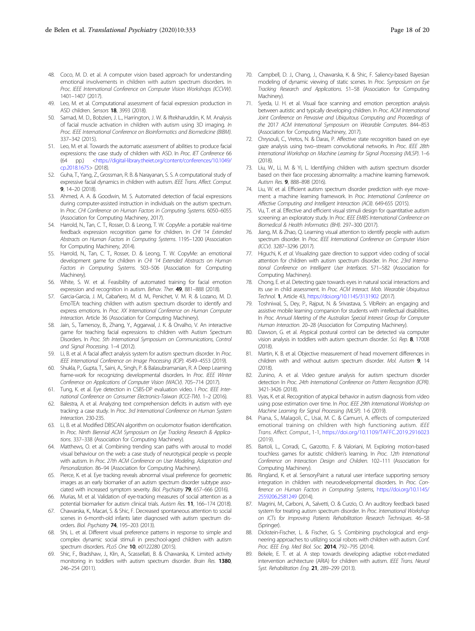- <span id="page-17-0"></span>49. Leo, M. et al. Computational assessment of facial expression production in ASD children. Sensors 18, 3993 (2018).
- 50. Samad, M. D., Bobzien, J. L., Harrington, J. W. & Iftekharuddin, K. M. Analysis of facial muscle activation in children with autism using 3D imaging. In Proc. IEEE International Conference on Bioinformatics and Biomedicine (BIBM). 337–342 (2015).
- 51. Leo, M. et al. Towards the automatic assessment of abilities to produce facial expressions: the case study of children with ASD. In Proc. IET Conference 66 (64 pp.) [<https://digital-library.theiet.org/content/conferences/10.1049/](https://digital-library.theiet.org/content/conferences/10.1049/cp.2018.1675) [cp.2018.1675>](https://digital-library.theiet.org/content/conferences/10.1049/cp.2018.1675) (2018).
- 52. Guha, T., Yang, Z., Grossman, R. B. & Narayanan, S. S. A computational study of expressive facial dynamics in children with autism. IEEE Trans. Affect. Comput. 9, 14–20 (2018).
- 53. Ahmed, A. A. & Goodwin, M. S. Automated detection of facial expressions during computer-assisted instruction in individuals on the autism spectrum. In Proc. CHI Conference on Human Factors in Computing Systems. 6050–6055 (Association for Computing Machinery, 2017).
- 54. Harrold, N., Tan, C. T., Rosser, D. & Leong, T. W. CopyMe: a portable real-time feedback expression recognition game for children. In CHI '14 Extended Abstracts on Human Factors in Computing Systems. 1195–1200 (Association for Computing Machinery, 2014).
- 55. Harrold, N., Tan, C. T., Rosser, D. & Leong, T. W. CopyMe: an emotional development game for children in CHI '14 Extended Abstracts on Human Factors in Computing Systems. 503–506 (Association for Computing Machinery).
- 56. White, S. W. et al. Feasibility of automated training for facial emotion expression and recognition in autism. Behav. Ther. 49, 881-888 (2018).
- 57. Garcia-Garcia, J. M., Cabañero, M. d. M., Penichet, V. M. R. & Lozano, M. D. EmoTEA: teaching children with autism spectrum disorder to identify and express emotions. In Proc. XX International Conference on Human Computer Interaction. Article 36 (Association for Computing Machinery).
- 58. Jain, S., Tamersoy, B., Zhang, Y., Aggarwal, J. K. & Orvalho, V. An interactive game for teaching facial expressions to children with Autism Spectrum Disorders. In Proc. 5th International Symposium on Communications, Control and Signal Processing. 1–4 (2012).
- 59. Li, B. et al. A facial affect analysis system for autism spectrum disorder. In Proc. IEEE International Conference on Image Processing (ICIP). 4549–4553 (2019).
- 60. Shukla, P., Gupta, T., Saini, A., Singh, P. & Balasubramanian, R. A Deep Learning frame-work for recognizing developmental disorders. In Proc. IEEE Winter Conference on Applications of Computer Vision (WACV). 705–714 (2017).
- 61. Tung, K. et al. Eye detection in CSBS-DP evaluation video. I Proc. IEEE International Conference on Consumer Electronics-Taiwan (ICCE-TW). 1–2 (2016).
- 62. Balestra, A. et al. Analyzing text comprehension deficits in autism with eye tracking: a case study. In Proc. 3rd International Conference on Human System Interaction. 230-235.
- 63. Li, B. et al. Modified DBSCAN algorithm on oculomotor fixation identification. In Proc. Ninth Biennial ACM Symposium on Eye Tracking Research & Applications. 337–338 (Association for Computing Machinery).
- 64. Matthews, O. et al. Combining trending scan paths with arousal to model visual behaviour on the web: a case study of neurotypical people vs people with autism. In Proc. 27th ACM Conference on User Modeling, Adaptation and Personalization. 86–94 (Association for Computing Machinery).
- Pierce, K. et al. Eye tracking reveals abnormal visual preference for geometric images as an early biomarker of an autism spectrum disorder subtype associated with increased symptom severity. Biol. Psychiatry 79, 657-666 (2016).
- 66. Murias, M. et al. Validation of eye-tracking measures of social attention as a potential biomarker for autism clinical trials. Autism Res. 11, 166–174 (2018).
- 67. Chawarska, K., Macari, S. & Shic, F. Decreased spontaneous attention to social scenes in 6-month-old infants later diagnosed with autism spectrum disorders. Biol. Psychiatry 74, 195–203 (2013).
- 68. Shi, L. et al. Different visual preference patterns in response to simple and complex dynamic social stimuli in preschool-aged children with autism spectrum disorders. PLoS One 10, e0122280 (2015).
- 69. Shic, F., Bradshaw, J., Klin, A., Scassellati, B. & Chawarska, K. Limited activity monitoring in toddlers with autism spectrum disorder. Brain Res. 1380, 246–254 (2011).
- 70. Campbell, D. J., Chang, J., Chawarska, K. & Shic, F. Saliency-based Bayesian modeling of dynamic viewing of static scenes. In Proc. Symposium on Eye Tracking Research and Applications. 51–58 (Association for Computing Machinery).
- 71. Syeda, U. H. et al. Visual face scanning and emotion perception analysis between autistic and typically developing children. In Proc. ACM International Joint Conference on Pervasive and Ubiquitous Computing and Proceedings of the 2017 ACM International Symposium on Wearable Computers. 844–853 (Association for Computing Machinery, 2017).
- 72. Chrysouli, C., Vretos, N. & Daras, P. Affective state recognition based on eye gaze analysis using two-stream convolutional networks. In Proc. IEEE 28th International Workshop on Machine Learning for Signal Processing (MLSP). 1–6  $(2018)$
- 73. Liu, W., Li, M. & Yi, L. Identifying children with autism spectrum disorder based on their face processing abnormality: a machine learning framework. Autism Res. 9, 888–898 (2016).
- 74. Liu, W. et al. Efficient autism spectrum disorder prediction with eye movement: a machine learning framework. In Proc. International Conference on Affective Computing and Intelligent Interaction (ACII). 649-655 (2015).
- 75. Vu, T. et al. Effective and efficient visual stimuli design for quantitative autism screening: an exploratory study. In Proc. IEEE EMBS International Conference on Biomedical & Health Informatics (BHI). 297–300 (2017).
- 76. Jiang, M. & Zhao, Q. Learning visual attention to identify people with autism spectrum disorder. In Proc. IEEE International Conference on Computer Vision (ICCV). 3287–3296 (2017).
- 77. Higuchi, K. et al. Visualizing gaze direction to support video coding of social attention for children with autism spectrum disorder. In Proc. 23rd International Conference on Intelligent User Interfaces. 571–582 (Association for Computing Machinery).
- 78. Chong, E. et al. Detecting gaze towards eyes in natural social interactions and its use in child assessment. In Proc. ACM Interact. Mob. Wearable Ubiquitous Technol. 1, Article 43, <https://doi.org/10.1145/3131902> (2017).
- 79. Toshniwal, S., Dey, P., Rajput, N. & Srivastava, S. VibRein: an engaging and assistive mobile learning companion for students with intellectual disabilities. In Proc. Annual Meeting of the Australian Special Interest Group for Computer Human Interaction. 20-28 (Association for Computing Machinery).
- 80. Dawson, G. et al. Atypical postural control can be detected via computer vision analysis in toddlers with autism spectrum disorder. Sci. Rep. 8, 17008 (2018).
- 81. Martin, K. B. et al. Objective measurement of head movement differences in children with and without autism spectrum disorder. Mol. Autism 9, 14  $(2018)$
- 82. Zunino, A. et al. Video gesture analysis for autism spectrum disorder detection In Proc. 24th International Conference on Pattern Recognition (ICPR). 3421-3426 (2018).
- 83. Vyas, K. et al. Recognition of atypical behavior in autism diagnosis from video using pose estimation over time. In Proc. IEEE 29th International Workshop on Machine Learning for Signal Processing (MLSP). 1-6 (2019).
- 84. Piana, S., Malagoli, C., Usai, M. C. & Camurri, A. effects of computerized emotional training on children with high functioning autism. IEEE Trans. Affect. Comput., 1-1, <https://doi.org/10.1109/TAFFC.2019.2916023> (2019).
- 85. Bartoli, L., Corradi, C., Garzotto, F. & Valoriani, M. Exploring motion-based touchless games for autistic children's learning. In Proc. 12th International Conference on Interaction Design and Children. 102–111 (Association for Computing Machinery).
- 86. Ringland, K. et al. SensoryPaint: a natural user interface supporting sensory integration in children with neurodevelopmental disorders. In Proc. Conference on Human Factors in Computing Systems, [https://doi.org/10.1145/](https://doi.org/10.1145/2559206.2581249) [2559206.2581249](https://doi.org/10.1145/2559206.2581249) (2014).
- 87. Magrini, M., Carboni, A., Salvetti, O. & Curzio, O. An auditory feedback based system for treating autism spectrum disorder. In Proc. International Workshop on ICTs for Improving Patients Rehabilitation Research Techniques. 46–58 (Springer).
- 88. Dickstein-Fischer, L. & Fischer, G. S. Combining psychological and engineering approaches to utilizing social robots with children with autism. Conf. Proc. IEEE Eng. Med Biol. Soc. 2014, 792–795 (2014).
- 89. Bekele, E. T. et al. A step towards developing adaptive robot-mediated intervention architecture (ARIA) for children with autism. IEEE Trans. Neural Syst. Rehabilitation Eng. 21, 289–299 (2013).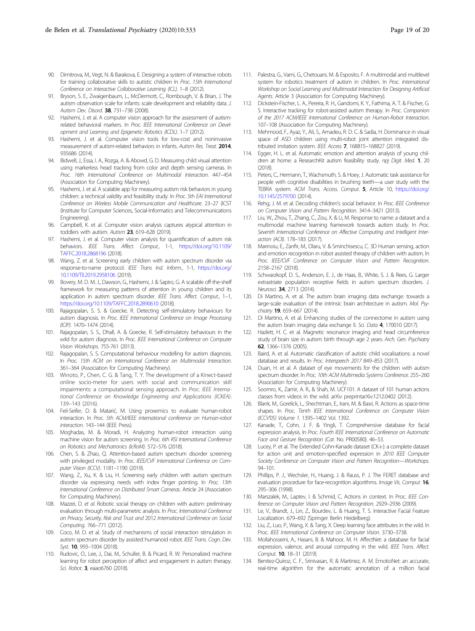- <span id="page-18-0"></span>90. Dimitrova, M., Vegt, N. & Barakova, E. Designing a system of interactive robots for training collaborative skills to autistic children In Proc. 15th International Conference on Interactive Collaborative Learning (ICL). 1–8 (2012).
- 91. Bryson, S. E., Zwaigenbaum, L., McDermott, C., Rombough, V. & Brian, J. The autism observation scale for infants: scale development and reliability data. J. Autism Dev. Disord. 38, 731–738 (2008).
- 92. Hashemi, J. et al. A computer vision approach for the assessment of autismrelated behavioral markers. In Proc. IEEE International Conference on Development and Learning and Epigenetic Robotics (ICDL). 1–7 (2012).
- Hashemi, J. et al. Computer vision tools for low-cost and noninvasive measurement of autism-related behaviors in infants. Autism Res. Treat. 2014, 935686 (2014).
- 94. Bidwell, J., Essa, I. A., Rozga, A. & Abowd, G. D. Measuring child visual attention using markerless head tracking from color and depth sensing cameras. In Proc. 16th International Conference on Multimodal Interaction. 447–454 (Association for Computing Machinery).
- Hashemi, J. et al. A scalable app for measuring autism risk behaviors in young children: a technical validity and feasibility study. In Proc. 5th EAI International Conference on Wireless Mobile Communication and Healthcare. 23–27 (ICST (Institute for Computer Sciences, Social-Informatics and Telecommunications Engineering).
- 96. Campbell, K. et al. Computer vision analysis captures atypical attention in toddlers with autism. Autism 23, 619–628 (2019).
- 97. Hashemi, J. et al. Computer vision analysis for quantification of autism risk behaviors. IEEE Trans. Affect. Comput., 1-1, [https://doi.org/10.1109/](https://doi.org/10.1109/TAFFC.2018.2868196) [TAFFC.2018.2868196](https://doi.org/10.1109/TAFFC.2018.2868196) (2018).
- 98. Wang, Z. et al. Screening early children with autism spectrum disorder via response-to-name protocol. IEEE Trans Ind. Inform., 1-1, [https://doi.org/](https://doi.org/10.1109/TII.2019.2958106) [10.1109/TII.2019.2958106](https://doi.org/10.1109/TII.2019.2958106) (2019).
- Bovery, M. D. M. J., Dawson, G., Hashemi, J. & Sapiro, G. A scalable off-the-shelf framework for measuring patterns of attention in young children and its application in autism spectrum disorder. IEEE Trans. Affect. Comput., 1–1, <https://doi.org/10.1109/TAFFC.2018.2890610> (2018).
- 100. Rajagopalan, S. S. & Goecke, R. Detecting self-stimulatory behaviours for autism diagnosis. In Proc. IEEE International Conference on Image Processing (ICIP). 1470–1474 (2014).
- 101. Rajagopalan, S. S., Dhall, A. & Goecke, R. Self-stimulatory behaviours in the wild for autism diagnosis. In Proc. IEEE International Conference on Computer Vision Workshops. 755-761 (2013).
- 102. Rajagopalan, S. S. Computational behaviour modelling for autism diagnosis. In Proc. 15th ACM on International Conference on Multimodal Interaction. 361–364 (Association for Computing Machinery).
- 103. Winoto, P., Chen, C. G. & Tang, T. Y. The development of a Kinect-based online socio-meter for users with social and communication skill impairments: a computational sensing approach. In Proc. IEEE International Conference on Knowledge Engineering and Applications (ICKEA). 139–143 (2016).
- 104. Feil-Seifer, D. & Matarić, M. Using proxemics to evaluate human-robot interaction. In Proc. 5th ACM/IEEE international conference on Human-robot interaction. 143–144 (IEEE Press).
- 105. Moghadas, M. & Moradi, H. Analyzing human-robot interaction using machine vision for autism screening. In Proc. 6th RSI International Conference on Robotics and Mechatronics (IcRoM). 572–576 (2018).
- 106. Chen, S. & Zhao, Q. Attention-based autism spectrum disorder screening with privileged modality. In Proc. IEEE/CVF International Conference on Computer Vision (ICCV). 1181–1190 (2019).
- Wang, Z., Xu, K. & Liu, H. Screening early children with autism spectrum disorder via expressing needs with index finger pointing. In Proc. 13th International Conference on Distributed Smart Cameras. Article 24 (Association for Computing Machinery).
- 108. Mazzei, D. et al. Robotic social therapy on children with autism: preliminary evaluation through multi-parametric analysis. In Proc. International Conference on Privacy, Security, Risk and Trust and 2012 International Confernece on Social Computing. 766–771 (2012).
- 109. Coco, M. D. et al. Study of mechanisms of social interaction stimulation in autism spectrum disorder by assisted humanoid robot. IEEE Trans. Cogn. Dev. Syst. **10**, 993-1004 (2018).
- 110. Rudovic, O., Lee, J., Dai, M., Schuller, B. & Picard, R. W. Personalized machine learning for robot perception of affect and engagement in autism therapy. Sci. Robot. **3**, eaao6760 (2018).
- 111. Palestra, G., Varni, G., Chetouani, M. & Esposito, F. A multimodal and multilevel system for robotics treatment of autism in children. In Proc. International Workshop on Social Learning and Multimodal Interaction for Designing Artificial Agents. Article 3 (Association for Computing Machinery).
- 112. Dickstein-Fischer, L. A., Pereira, R. H., Gandomi, K. Y., Fathima, A. T. & Fischer, G. S. Interactive tracking for robot-assisted autism therapy. In Proc. Companion of the 2017 ACM/IEEE International Conference on Human-Robot Interaction. 107–108 (Association for Computing Machinery).
- 113. Mehmood, F., Ayaz, Y., Ali, S., Amadeu, R. D. C. & Sadia, H. Dominance in visual space of ASD children using multi-robot joint attention integrated distributed imitation system. IEEE Access 7, 168815-168827 (2019)
- 114. Egger, H. L. et al. Automatic emotion and attention analysis of young children at home: a ResearchKit autism feasibility study. npj Digit. Med. 1, 20  $(2018)$
- 115. Peters, C., Hermann, T., Wachsmuth, S. & Hoey, J. Automatic task assistance for people with cognitive disabilities in brushing teeth—a user study with the TEBRA system. ACM Trans. Access. Comput. 5, Article 10, [https://doi.org/](https://doi.org/10.1145/2579700) [10.1145/2579700](https://doi.org/10.1145/2579700) (2014).
- 116. Rehg, J. M. et al. Decoding children's social behavior. In Proc. IEEE Conference on Computer Vision and Pattern Recognition. 3414–3421 (2013).
- 117. Liu, W., Zhou, T., Zhang, C., Zou, X. & Li, M. Response to name: a dataset and a multimodal machine learning framework towards autism study. In Proc. Seventh International Conference on Affective Computing and Intelligent Interaction (ACII). 178–183 (2017).
- 118. Marinoiu, E., Zanfir, M., Olaru, V. & Sminchisescu, C. 3D Human sensing, action and emotion recognition in robot assisted therapy of children with autism. In Proc. IEEE/CVF Conference on Computer Vision and Pattern Recognition. 2158–2167 (2018).
- 119. Schwarzkopf, D. S., Anderson, E. J., de Haas, B., White, S. J. & Rees, G. Larger extrastriate population receptive fields in autism spectrum disorders. J. Neurosci. 34, 2713 (2014).
- 120. Di Martino, A. et al. The autism brain imaging data exchange: towards a large-scale evaluation of the intrinsic brain architecture in autism. Mol. Psychiatry 19, 659-667 (2014).
- 121. Di Martino, A. et al. Enhancing studies of the connectome in autism using the autism brain imaging data exchange II. Sci. Data 4, 170010 (2017).
- 122. Hazlett, H. C. et al. Magnetic resonance imaging and head circumference study of brain size in autism: birth through age 2 years. Arch. Gen. Psychiatry 62, 1366–1376 (2005).
- 123. Baird, A. et al. Automatic classification of autistic child vocalisations: a novel database and results. In Proc. Interspeech 2017 849–853 (2017).
- 124. Duan, H. et al. A dataset of eye movements for the children with autism spectrum disorder. In Proc. 10th ACM Multimedia Systems Conference. 255–260 (Association for Computing Machinery).
- 125. Soomro, K., Zamir, A. R., & Shah, M. UCF101: A dataset of 101 human actions classes from videos in the wild. arXiv preprintarXiv:1212.0402 (2012).
- 126. Blank, M., Gorelick, L., Shechtman, E., Irani, M. & Basri, R. Actions as space-time shapes. In Proc. Tenth IEEE International Conference on Computer Vision (ICCV'05) Volume 1. 1395–1402 Vol. 1392.
- 127. Kanade, T., Cohn, J. F. & Yingli, T. Comprehensive database for facial expression analysis. In Proc. Fourth IEEE International Conference on Automatic Face and Gesture Recognition (Cat. No. PR00580). 46–53.
- 128. Lucey, P. et al. The Extended Cohn-Kanade dataset (CK+): a complete dataset for action unit and emotion-specified expression in 2010 IEEE Computer Society Conference on Computer Vision and Pattern Recognition—Workshops. 94–101.
- 129. Phillips, P. J., Wechsler, H., Huang, J. & Rauss, P. J. The FERET database and evaluation procedure for face-recognition algorithms. Image Vis. Comput. 16, 295–306 (1998).
- 130. Marszalek, M., Laptev, I. & Schmid, C. Actions in context. In Proc. IEEE Conference on Computer Vision and Pattern Recognition. 2929–2936 (2009).
- 131. Le, V., Brandt, J., Lin, Z., Bourdev, L. & Huang, T. S. Interactive Facial Feature Localization. 679–692 (Springer Berlin Heidelberg).
- 132. Liu, Z., Luo, P., Wang, X. & Tang, X. Deep learning face attributes in the wild. In Proc. IEEE International Conference on Computer Vision. 3730–3738.
- 133. Mollahosseini, A., Hasani, B. & Mahoor, M. H. AffectNet: a database for facial expression, valence, and arousal computing in the wild. IEEE Trans. Affect. Comput. **10**, 18-31 (2019).
- 134. Benitez-Quiroz, C. F., Srinivasan, R. & Martinez, A. M. EmotioNet: an accurate, real-time algorithm for the automatic annotation of a million facial